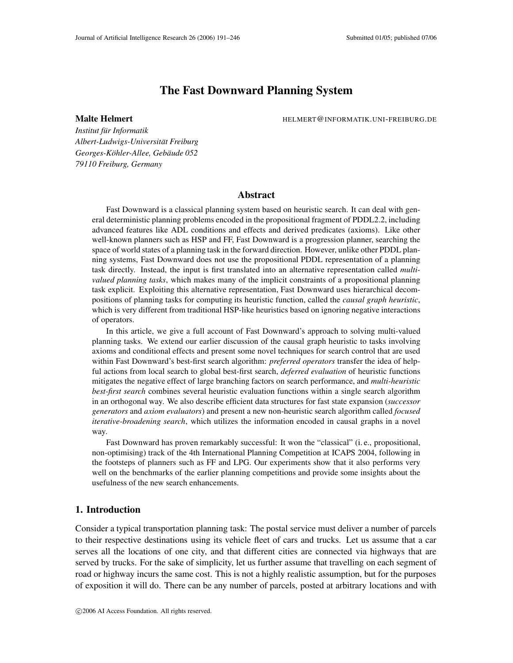# **The Fast Downward Planning System**

**Malte Helmert HELMERT@INFORMATIK.UNI-FREIBURG.DE** 

*Institut fur¨ Informatik Albert-Ludwigs-Universitat¨ Freiburg Georges-Kohler ¨ -Allee, Gebaude ¨ 052 79110 Freiburg, Germany*

### **Abstract**

Fast Downward is a classical planning system based on heuristic search. It can deal with general deterministic planning problems encoded in the propositional fragment of PDDL2.2, including advanced features like ADL conditions and effects and derived predicates (axioms). Like other well-known planners such as HSP and FF, Fast Downward is a progression planner, searching the space of world states of a planning task in the forward direction. However, unlike other PDDL planning systems, Fast Downward does not use the propositional PDDL representation of a planning task directly. Instead, the input is first translated into an alternative representation called *multivalued planning tasks*, which makes many of the implicit constraints of a propositional planning task explicit. Exploiting this alternative representation, Fast Downward uses hierarchical decompositions of planning tasks for computing its heuristic function, called the *causal graph heuristic*, which is very different from traditional HSP-like heuristics based on ignoring negative interactions of operators.

In this article, we give a full account of Fast Downward's approach to solving multi-valued planning tasks. We extend our earlier discussion of the causal graph heuristic to tasks involving axioms and conditional effects and present some novel techniques for search control that are used within Fast Downward's best-first search algorithm: *preferred operators* transfer the idea of helpful actions from local search to global best-first search, *deferred evaluation* of heuristic functions mitigates the negative effect of large branching factors on search performance, and *multi-heuristic best-first search* combines several heuristic evaluation functions within a single search algorithm in an orthogonal way. We also describe efficient data structures for fast state expansion (*successor generators* and *axiom evaluators*) and present a new non-heuristic search algorithm called *focused iterative-broadening search*, which utilizes the information encoded in causal graphs in a novel way.

Fast Downward has proven remarkably successful: It won the "classical" (i. e., propositional, non-optimising) track of the 4th International Planning Competition at ICAPS 2004, following in the footsteps of planners such as FF and LPG. Our experiments show that it also performs very well on the benchmarks of the earlier planning competitions and provide some insights about the usefulness of the new search enhancements.

## **1. Introduction**

Consider a typical transportation planning task: The postal service must deliver a number of parcels to their respective destinations using its vehicle fleet of cars and trucks. Let us assume that a car serves all the locations of one city, and that different cities are connected via highways that are served by trucks. For the sake of simplicity, let us further assume that travelling on each segment of road or highway incurs the same cost. This is not a highly realistic assumption, but for the purposes of exposition it will do. There can be any number of parcels, posted at arbitrary locations and with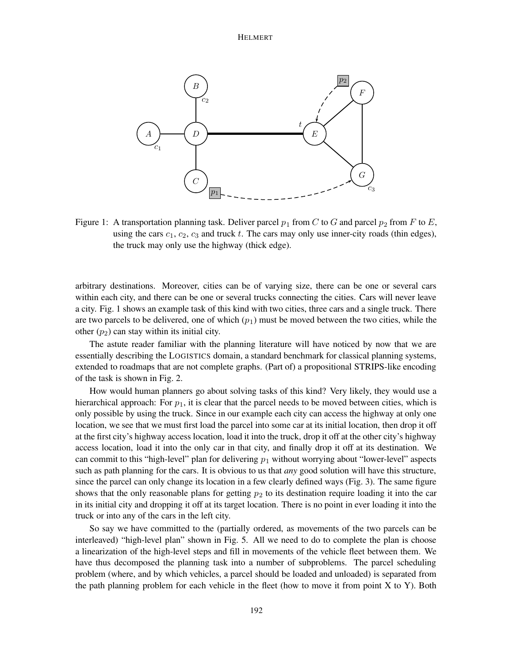

Figure 1: A transportation planning task. Deliver parcel  $p_1$  from C to G and parcel  $p_2$  from F to E, using the cars  $c_1$ ,  $c_2$ ,  $c_3$  and truck t. The cars may only use inner-city roads (thin edges), the truck may only use the highway (thick edge).

arbitrary destinations. Moreover, cities can be of varying size, there can be one or several cars within each city, and there can be one or several trucks connecting the cities. Cars will never leave a city. Fig. 1 shows an example task of this kind with two cities, three cars and a single truck. There are two parcels to be delivered, one of which  $(p_1)$  must be moved between the two cities, while the other  $(p_2)$  can stay within its initial city.

The astute reader familiar with the planning literature will have noticed by now that we are essentially describing the LOGISTICS domain, a standard benchmark for classical planning systems, extended to roadmaps that are not complete graphs. (Part of) a propositional STRIPS-like encoding of the task is shown in Fig. 2.

How would human planners go about solving tasks of this kind? Very likely, they would use a hierarchical approach: For  $p_1$ , it is clear that the parcel needs to be moved between cities, which is only possible by using the truck. Since in our example each city can access the highway at only one location, we see that we must first load the parcel into some car at its initial location, then drop it off at the first city's highway access location, load it into the truck, drop it off at the other city's highway access location, load it into the only car in that city, and finally drop it off at its destination. We can commit to this "high-level" plan for delivering  $p_1$  without worrying about "lower-level" aspects such as path planning for the cars. It is obvious to us that *any* good solution will have this structure, since the parcel can only change its location in a few clearly defined ways (Fig. 3). The same figure shows that the only reasonable plans for getting  $p<sub>2</sub>$  to its destination require loading it into the car in its initial city and dropping it off at its target location. There is no point in ever loading it into the truck or into any of the cars in the left city.

So say we have committed to the (partially ordered, as movements of the two parcels can be interleaved) "high-level plan" shown in Fig. 5. All we need to do to complete the plan is choose a linearization of the high-level steps and fill in movements of the vehicle fleet between them. We have thus decomposed the planning task into a number of subproblems. The parcel scheduling problem (where, and by which vehicles, a parcel should be loaded and unloaded) is separated from the path planning problem for each vehicle in the fleet (how to move it from point  $X$  to  $Y$ ). Both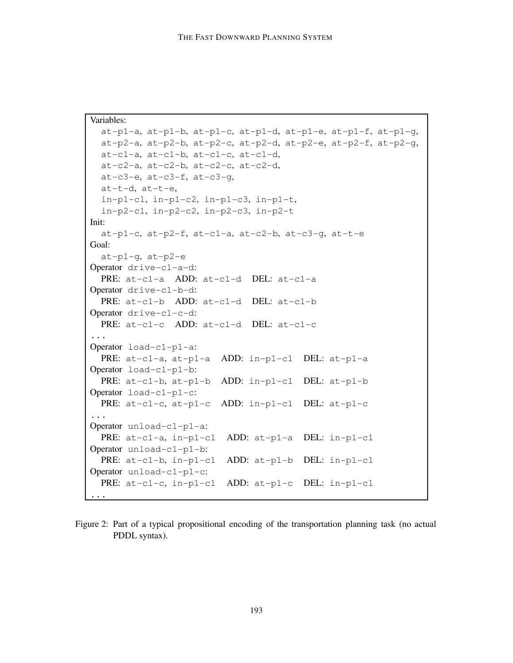```
Variables:
  at-p1-a, at-p1-b, at-p1-c, at-p1-d, at-p1-e, at-p1-f, at-p1-g,
  at-p2-a, at-p2-b, at-p2-c, at-p2-d, at-p2-e, at-p2-f, at-p2-g,
  at-c1-a, at-c1-b, at-c1-c, at-c1-d,
  at-c2-a, at-c2-b, at-c2-c, at-c2-d,
  at-c3-e, at-c3-f, at-c3-g,
  at-t-d, at-t-e,
  in-p1-c1, in-p1-c2, in-p1-c3, in-p1-t,
  in-p2-c1, in-p2-c2, in-p2-c3, in-p2-t
Init:
  at-p1-c, at-p2-f, at-c1-a, at-c2-b, at-c3-g, at-t-e
Goal:
  at-p1-g, at-p2-e
Operator drive-c1-a-d:
  PRE: at-c1-a ADD: at-c1-d DEL: at-c1-a
Operator drive-c1-b-d:
  PRE: at-c1-b ADD: at-c1-d DEL: at-c1-b
Operator drive-c1-c-d:
  PRE: at-c1-c ADD: at-c1-d DEL: at-c1-c
...
Operator load-c1-p1-a:
  PRE: at-c1-a, at-p1-a ADD: in-p1-c1 DEL: at-p1-a
Operator load-c1-p1-b:
  PRE: at-c1-b, at-p1-b ADD: in-p1-c1 DEL: at-p1-b
Operator load-c1-p1-c:
  PRE: at-c1-c, at-p1-c ADD: in-p1-c1 DEL: at-p1-c
...
Operator unload-c1-p1-a:
  PRE: at-c1-a, in-p1-c1 ADD: at-p1-a DEL: in-p1-c1
Operator unload-c1-p1-b:
  PRE: at-c1-b, in-p1-c1 ADD: at-p1-b DEL: in-p1-c1
Operator unload-c1-p1-c:
  PRE: at-c1-c, in-p1-c1 ADD: at-p1-c DEL: in-p1-c1
...
```
Figure 2: Part of a typical propositional encoding of the transportation planning task (no actual PDDL syntax).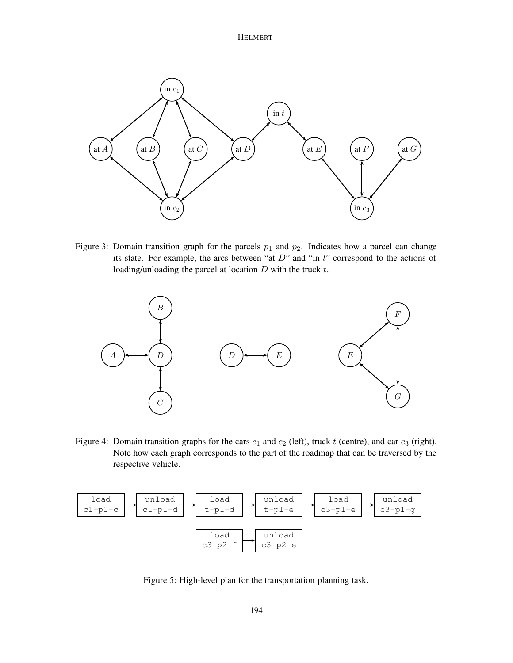

Figure 3: Domain transition graph for the parcels  $p_1$  and  $p_2$ . Indicates how a parcel can change its state. For example, the arcs between "at  $D$ " and "in  $t$ " correspond to the actions of loading/unloading the parcel at location  $D$  with the truck  $t$ .



Figure 4: Domain transition graphs for the cars  $c_1$  and  $c_2$  (left), truck t (centre), and car  $c_3$  (right). Note how each graph corresponds to the part of the roadmap that can be traversed by the respective vehicle.



Figure 5: High-level plan for the transportation planning task.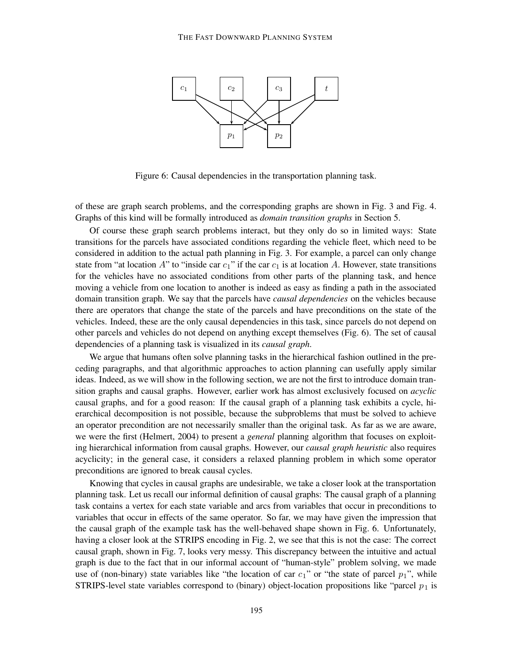

Figure 6: Causal dependencies in the transportation planning task.

of these are graph search problems, and the corresponding graphs are shown in Fig. 3 and Fig. 4. Graphs of this kind will be formally introduced as *domain transition graphs* in Section 5.

Of course these graph search problems interact, but they only do so in limited ways: State transitions for the parcels have associated conditions regarding the vehicle fleet, which need to be considered in addition to the actual path planning in Fig. 3. For example, a parcel can only change state from "at location A" to "inside car  $c_1$ " if the car  $c_1$  is at location A. However, state transitions for the vehicles have no associated conditions from other parts of the planning task, and hence moving a vehicle from one location to another is indeed as easy as finding a path in the associated domain transition graph. We say that the parcels have *causal dependencies* on the vehicles because there are operators that change the state of the parcels and have preconditions on the state of the vehicles. Indeed, these are the only causal dependencies in this task, since parcels do not depend on other parcels and vehicles do not depend on anything except themselves (Fig. 6). The set of causal dependencies of a planning task is visualized in its *causal graph*.

We argue that humans often solve planning tasks in the hierarchical fashion outlined in the preceding paragraphs, and that algorithmic approaches to action planning can usefully apply similar ideas. Indeed, as we will show in the following section, we are not the first to introduce domain transition graphs and causal graphs. However, earlier work has almost exclusively focused on *acyclic* causal graphs, and for a good reason: If the causal graph of a planning task exhibits a cycle, hierarchical decomposition is not possible, because the subproblems that must be solved to achieve an operator precondition are not necessarily smaller than the original task. As far as we are aware, we were the first (Helmert, 2004) to present a *general* planning algorithm that focuses on exploiting hierarchical information from causal graphs. However, our *causal graph heuristic* also requires acyclicity; in the general case, it considers a relaxed planning problem in which some operator preconditions are ignored to break causal cycles.

Knowing that cycles in causal graphs are undesirable, we take a closer look at the transportation planning task. Let us recall our informal definition of causal graphs: The causal graph of a planning task contains a vertex for each state variable and arcs from variables that occur in preconditions to variables that occur in effects of the same operator. So far, we may have given the impression that the causal graph of the example task has the well-behaved shape shown in Fig. 6. Unfortunately, having a closer look at the STRIPS encoding in Fig. 2, we see that this is not the case: The correct causal graph, shown in Fig. 7, looks very messy. This discrepancy between the intuitive and actual graph is due to the fact that in our informal account of "human-style" problem solving, we made use of (non-binary) state variables like "the location of car  $c_1$ " or "the state of parcel  $p_1$ ", while STRIPS-level state variables correspond to (binary) object-location propositions like "parcel  $p_1$  is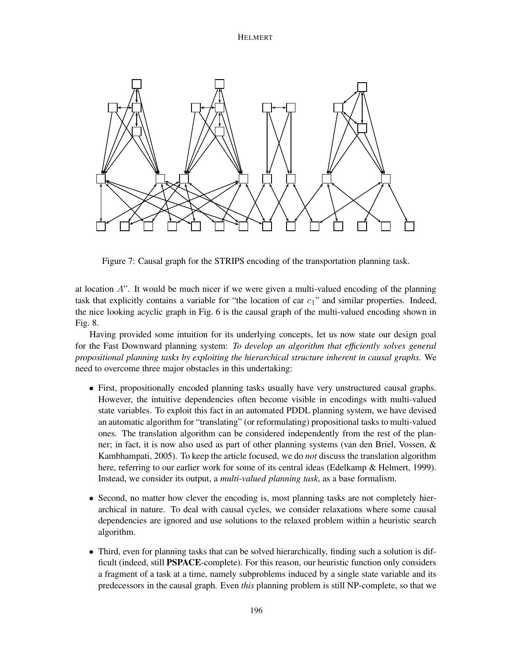

Figure 7: Causal graph for the STRIPS encoding of the transportation planning task.

at location  $A$ ". It would be much nicer if we were given a multi-valued encoding of the planning task that explicitly contains a variable for "the location of car  $c_1$ " and similar properties. Indeed, the nice looking acyclic graph in Fig. 6 is the causal graph of the multi-valued encoding shown in Fig. 8.

Having provided some intuition for its underlying concepts, let us now state our design goal for the Fast Downward planning system: *To develop an algorithm that efficiently solves general propositional planning tasks by exploiting the hierarchical structure inherent in causal graphs.* We need to overcome three major obstacles in this undertaking:

- First, propositionally encoded planning tasks usually have very unstructured causal graphs. However, the intuitive dependencies often become visible in encodings with multi-valued state variables. To exploit this fact in an automated PDDL planning system, we have devised an automatic algorithm for "translating" (or reformulating) propositional tasks to multi-valued ones. The translation algorithm can be considered independently from the rest of the planner; in fact, it is now also used as part of other planning systems (van den Briel, Vossen, & Kambhampati, 2005). To keep the article focused, we do *not* discuss the translation algorithm here, referring to our earlier work for some of its central ideas (Edelkamp & Helmert, 1999). Instead, we consider its output, a *multi-valued planning task*, as a base formalism.
- Second, no matter how clever the encoding is, most planning tasks are not completely hierarchical in nature. To deal with causal cycles, we consider relaxations where some causal dependencies are ignored and use solutions to the relaxed problem within a heuristic search algorithm.
- Third, even for planning tasks that can be solved hierarchically, finding such a solution is difficult (indeed, still **PSPACE**-complete). For this reason, our heuristic function only considers a fragment of a task at a time, namely subproblems induced by a single state variable and its predecessors in the causal graph. Even *this* planning problem is still NP-complete, so that we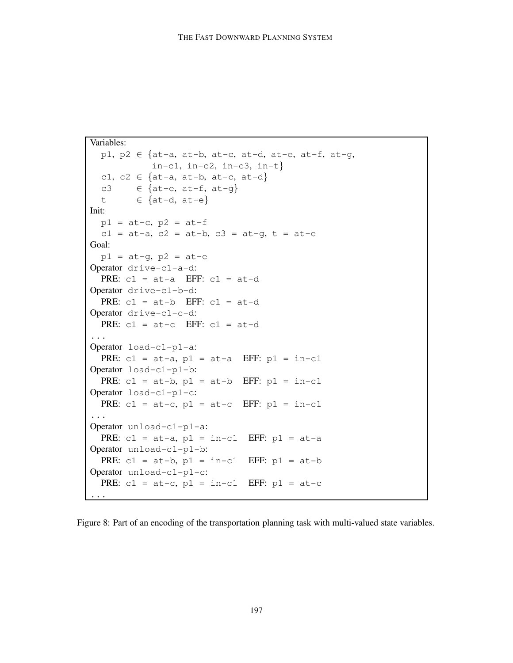```
Variables:
  p1, p2 \in {at-a, at-b, at-c, at-d, at-e, at-f, at-q,
           in-c1, in-c2, in-c3, in-t}
  c1, c2 \in {at-a, at-b, at-c, at-d}
  c3 \in {at-e, at-f, at-g}
  t \in {at-d, at-e}
Init:
  p1 = at-c, p2 = at-fc1 = at-a, c2 = at-b, c3 = at-g, t = at-eGoal:
  p1 = at-g, p2 = at-eOperator drive-c1-a-d:
  PRE: c1 = at-a EFF: c1 = at-dOperator drive-c1-b-d:
  PRE: c1 = at-b EFF: c1 = at-dOperator drive-c1-c-d:
  PRE: c1 = at-c EFF: c1 = at-d...
Operator load-c1-p1-a:
  PRE: c1 = at-a, p1 = at-a EFF: p1 = in-c1Operator load-c1-p1-b:
  PRE: c1 = at-b, p1 = at-b EFF: p1 = in-c1Operator load-c1-p1-c:
  PRE: c1 = at-c, p1 = at-c EFF: p1 = in-c1...
Operator unload-c1-p1-a:
  PRE: c1 = at-a, p1 = in-c1 EFF: p1 = at-aOperator unload-c1-p1-b:
  PRE: c1 = at-b, p1 = in-c1 EFF: p1 = at-bOperator unload-c1-p1-c:
  PRE: c1 = at-c, p1 = in-c1 EFF: p1 = at-c
```
Figure 8: Part of an encoding of the transportation planning task with multi-valued state variables.

...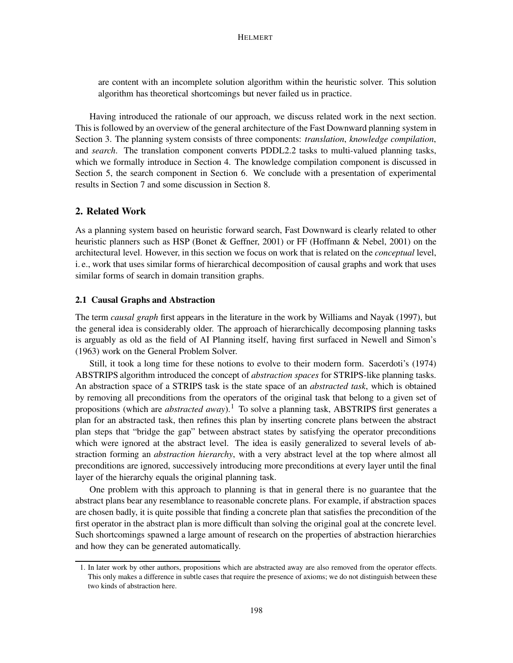are content with an incomplete solution algorithm within the heuristic solver. This solution algorithm has theoretical shortcomings but never failed us in practice.

Having introduced the rationale of our approach, we discuss related work in the next section. This is followed by an overview of the general architecture of the Fast Downward planning system in Section 3. The planning system consists of three components: *translation*, *knowledge compilation*, and *search*. The translation component converts PDDL2.2 tasks to multi-valued planning tasks, which we formally introduce in Section 4. The knowledge compilation component is discussed in Section 5, the search component in Section 6. We conclude with a presentation of experimental results in Section 7 and some discussion in Section 8.

# **2. Related Work**

As a planning system based on heuristic forward search, Fast Downward is clearly related to other heuristic planners such as HSP (Bonet & Geffner, 2001) or FF (Hoffmann & Nebel, 2001) on the architectural level. However, in this section we focus on work that is related on the *conceptual* level, i. e., work that uses similar forms of hierarchical decomposition of causal graphs and work that uses similar forms of search in domain transition graphs.

#### **2.1 Causal Graphs and Abstraction**

The term *causal graph* first appears in the literature in the work by Williams and Nayak (1997), but the general idea is considerably older. The approach of hierarchically decomposing planning tasks is arguably as old as the field of AI Planning itself, having first surfaced in Newell and Simon's (1963) work on the General Problem Solver.

Still, it took a long time for these notions to evolve to their modern form. Sacerdoti's (1974) ABSTRIPS algorithm introduced the concept of *abstraction spaces* for STRIPS-like planning tasks. An abstraction space of a STRIPS task is the state space of an *abstracted task*, which is obtained by removing all preconditions from the operators of the original task that belong to a given set of propositions (which are *abstracted away*).<sup>1</sup> To solve a planning task, ABSTRIPS first generates a plan for an abstracted task, then refines this plan by inserting concrete plans between the abstract plan steps that "bridge the gap" between abstract states by satisfying the operator preconditions which were ignored at the abstract level. The idea is easily generalized to several levels of abstraction forming an *abstraction hierarchy*, with a very abstract level at the top where almost all preconditions are ignored, successively introducing more preconditions at every layer until the final layer of the hierarchy equals the original planning task.

One problem with this approach to planning is that in general there is no guarantee that the abstract plans bear any resemblance to reasonable concrete plans. For example, if abstraction spaces are chosen badly, it is quite possible that finding a concrete plan that satisfies the precondition of the first operator in the abstract plan is more difficult than solving the original goal at the concrete level. Such shortcomings spawned a large amount of research on the properties of abstraction hierarchies and how they can be generated automatically.

<sup>1.</sup> In later work by other authors, propositions which are abstracted away are also removed from the operator effects. This only makes a difference in subtle cases that require the presence of axioms; we do not distinguish between these two kinds of abstraction here.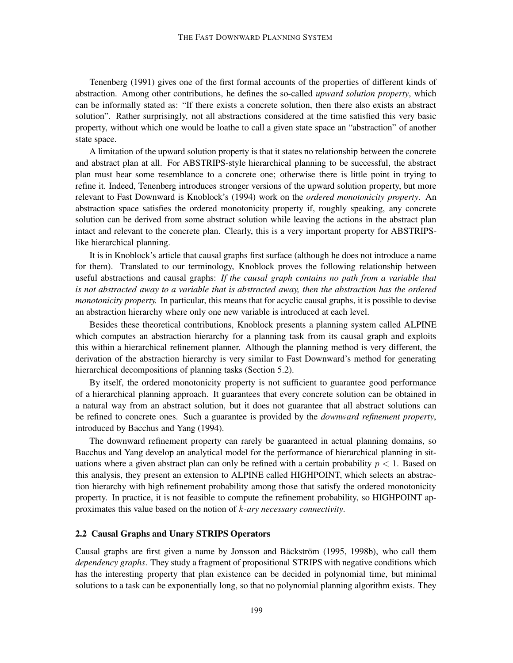Tenenberg (1991) gives one of the first formal accounts of the properties of different kinds of abstraction. Among other contributions, he defines the so-called *upward solution property*, which can be informally stated as: "If there exists a concrete solution, then there also exists an abstract solution". Rather surprisingly, not all abstractions considered at the time satisfied this very basic property, without which one would be loathe to call a given state space an "abstraction" of another state space.

A limitation of the upward solution property is that it states no relationship between the concrete and abstract plan at all. For ABSTRIPS-style hierarchical planning to be successful, the abstract plan must bear some resemblance to a concrete one; otherwise there is little point in trying to refine it. Indeed, Tenenberg introduces stronger versions of the upward solution property, but more relevant to Fast Downward is Knoblock's (1994) work on the *ordered monotonicity property*. An abstraction space satisfies the ordered monotonicity property if, roughly speaking, any concrete solution can be derived from some abstract solution while leaving the actions in the abstract plan intact and relevant to the concrete plan. Clearly, this is a very important property for ABSTRIPSlike hierarchical planning.

It is in Knoblock's article that causal graphs first surface (although he does not introduce a name for them). Translated to our terminology, Knoblock proves the following relationship between useful abstractions and causal graphs: *If the causal graph contains no path from a variable that is not abstracted away to a variable that is abstracted away, then the abstraction has the ordered monotonicity property.* In particular, this means that for acyclic causal graphs, it is possible to devise an abstraction hierarchy where only one new variable is introduced at each level.

Besides these theoretical contributions, Knoblock presents a planning system called ALPINE which computes an abstraction hierarchy for a planning task from its causal graph and exploits this within a hierarchical refinement planner. Although the planning method is very different, the derivation of the abstraction hierarchy is very similar to Fast Downward's method for generating hierarchical decompositions of planning tasks (Section 5.2).

By itself, the ordered monotonicity property is not sufficient to guarantee good performance of a hierarchical planning approach. It guarantees that every concrete solution can be obtained in a natural way from an abstract solution, but it does not guarantee that all abstract solutions can be refined to concrete ones. Such a guarantee is provided by the *downward refinement property*, introduced by Bacchus and Yang (1994).

The downward refinement property can rarely be guaranteed in actual planning domains, so Bacchus and Yang develop an analytical model for the performance of hierarchical planning in situations where a given abstract plan can only be refined with a certain probability  $p < 1$ . Based on this analysis, they present an extension to ALPINE called HIGHPOINT, which selects an abstraction hierarchy with high refinement probability among those that satisfy the ordered monotonicity property. In practice, it is not feasible to compute the refinement probability, so HIGHPOINT approximates this value based on the notion of k*-ary necessary connectivity*.

## **2.2 Causal Graphs and Unary STRIPS Operators**

Causal graphs are first given a name by Jonsson and Bäckström (1995, 1998b), who call them *dependency graphs*. They study a fragment of propositional STRIPS with negative conditions which has the interesting property that plan existence can be decided in polynomial time, but minimal solutions to a task can be exponentially long, so that no polynomial planning algorithm exists. They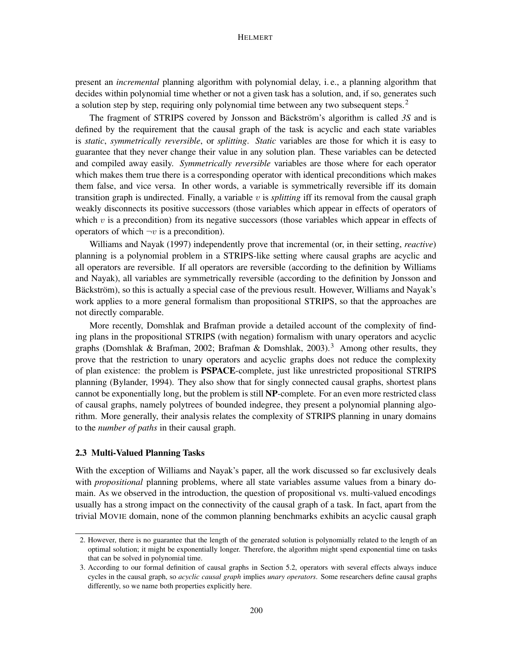present an *incremental* planning algorithm with polynomial delay, i. e., a planning algorithm that decides within polynomial time whether or not a given task has a solution, and, if so, generates such a solution step by step, requiring only polynomial time between any two subsequent steps.<sup>2</sup>

The fragment of STRIPS covered by Jonsson and Bäckström's algorithm is called 3S and is defined by the requirement that the causal graph of the task is acyclic and each state variables is *static*, *symmetrically reversible*, or *splitting*. *Static* variables are those for which it is easy to guarantee that they never change their value in any solution plan. These variables can be detected and compiled away easily. *Symmetrically reversible* variables are those where for each operator which makes them true there is a corresponding operator with identical preconditions which makes them false, and vice versa. In other words, a variable is symmetrically reversible iff its domain transition graph is undirected. Finally, a variable  $v$  is *splitting* iff its removal from the causal graph weakly disconnects its positive successors (those variables which appear in effects of operators of which  $v$  is a precondition) from its negative successors (those variables which appear in effects of operators of which  $\neg v$  is a precondition).

Williams and Nayak (1997) independently prove that incremental (or, in their setting, *reactive*) planning is a polynomial problem in a STRIPS-like setting where causal graphs are acyclic and all operators are reversible. If all operators are reversible (according to the definition by Williams and Nayak), all variables are symmetrically reversible (according to the definition by Jonsson and Bäckström), so this is actually a special case of the previous result. However, Williams and Nayak's work applies to a more general formalism than propositional STRIPS, so that the approaches are not directly comparable.

More recently, Domshlak and Brafman provide a detailed account of the complexity of finding plans in the propositional STRIPS (with negation) formalism with unary operators and acyclic graphs (Domshlak & Brafman, 2002; Brafman & Domshlak, 2003).<sup>3</sup> Among other results, they prove that the restriction to unary operators and acyclic graphs does not reduce the complexity of plan existence: the problem is **PSPACE**-complete, just like unrestricted propositional STRIPS planning (Bylander, 1994). They also show that for singly connected causal graphs, shortest plans cannot be exponentially long, but the problem is still **NP**-complete. For an even more restricted class of causal graphs, namely polytrees of bounded indegree, they present a polynomial planning algorithm. More generally, their analysis relates the complexity of STRIPS planning in unary domains to the *number of paths* in their causal graph.

### **2.3 Multi-Valued Planning Tasks**

With the exception of Williams and Nayak's paper, all the work discussed so far exclusively deals with *propositional* planning problems, where all state variables assume values from a binary domain. As we observed in the introduction, the question of propositional vs. multi-valued encodings usually has a strong impact on the connectivity of the causal graph of a task. In fact, apart from the trivial MOVIE domain, none of the common planning benchmarks exhibits an acyclic causal graph

<sup>2.</sup> However, there is no guarantee that the length of the generated solution is polynomially related to the length of an optimal solution; it might be exponentially longer. Therefore, the algorithm might spend exponential time on tasks that can be solved in polynomial time.

<sup>3.</sup> According to our formal definition of causal graphs in Section 5.2, operators with several effects always induce cycles in the causal graph, so *acyclic causal graph* implies *unary operators*. Some researchers define causal graphs differently, so we name both properties explicitly here.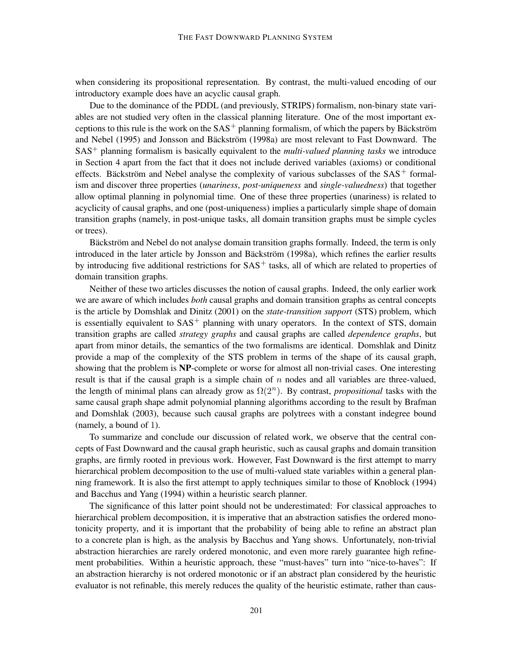when considering its propositional representation. By contrast, the multi-valued encoding of our introductory example does have an acyclic causal graph.

Due to the dominance of the PDDL (and previously, STRIPS) formalism, non-binary state variables are not studied very often in the classical planning literature. One of the most important exceptions to this rule is the work on the  $SAS^+$  planning formalism, of which the papers by Bäckström and Nebel (1995) and Jonsson and Bäckström (1998a) are most relevant to Fast Downward. The SAS<sup>+</sup> planning formalism is basically equivalent to the *multi-valued planning tasks* we introduce in Section 4 apart from the fact that it does not include derived variables (axioms) or conditional effects. Backström and Nebel analyse the complexity of various subclasses of the  $SAS<sup>+</sup>$  formalism and discover three properties (*unariness*, *post-uniqueness* and *single-valuedness*) that together allow optimal planning in polynomial time. One of these three properties (unariness) is related to acyclicity of causal graphs, and one (post-uniqueness) implies a particularly simple shape of domain transition graphs (namely, in post-unique tasks, all domain transition graphs must be simple cycles or trees).

Backström and Nebel do not analyse domain transition graphs formally. Indeed, the term is only introduced in the later article by Jonsson and Bäckström (1998a), which refines the earlier results by introducing five additional restrictions for SAS<sup>+</sup> tasks, all of which are related to properties of domain transition graphs.

Neither of these two articles discusses the notion of causal graphs. Indeed, the only earlier work we are aware of which includes *both* causal graphs and domain transition graphs as central concepts is the article by Domshlak and Dinitz (2001) on the *state-transition support* (STS) problem, which is essentially equivalent to SAS<sup>+</sup> planning with unary operators. In the context of STS, domain transition graphs are called *strategy graphs* and causal graphs are called *dependence graphs*, but apart from minor details, the semantics of the two formalisms are identical. Domshlak and Dinitz provide a map of the complexity of the STS problem in terms of the shape of its causal graph, showing that the problem is **NP**-complete or worse for almost all non-trivial cases. One interesting result is that if the causal graph is a simple chain of  $n$  nodes and all variables are three-valued, the length of minimal plans can already grow as  $\Omega(2^n)$ . By contrast, *propositional* tasks with the same causal graph shape admit polynomial planning algorithms according to the result by Brafman and Domshlak (2003), because such causal graphs are polytrees with a constant indegree bound (namely, a bound of 1).

To summarize and conclude our discussion of related work, we observe that the central concepts of Fast Downward and the causal graph heuristic, such as causal graphs and domain transition graphs, are firmly rooted in previous work. However, Fast Downward is the first attempt to marry hierarchical problem decomposition to the use of multi-valued state variables within a general planning framework. It is also the first attempt to apply techniques similar to those of Knoblock (1994) and Bacchus and Yang (1994) within a heuristic search planner.

The significance of this latter point should not be underestimated: For classical approaches to hierarchical problem decomposition, it is imperative that an abstraction satisfies the ordered monotonicity property, and it is important that the probability of being able to refine an abstract plan to a concrete plan is high, as the analysis by Bacchus and Yang shows. Unfortunately, non-trivial abstraction hierarchies are rarely ordered monotonic, and even more rarely guarantee high refinement probabilities. Within a heuristic approach, these "must-haves" turn into "nice-to-haves": If an abstraction hierarchy is not ordered monotonic or if an abstract plan considered by the heuristic evaluator is not refinable, this merely reduces the quality of the heuristic estimate, rather than caus-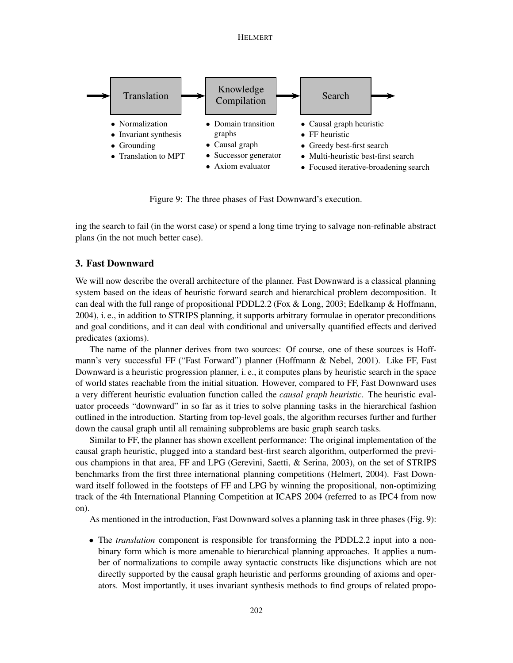

Figure 9: The three phases of Fast Downward's execution.

ing the search to fail (in the worst case) or spend a long time trying to salvage non-refinable abstract plans (in the not much better case).

# **3. Fast Downward**

We will now describe the overall architecture of the planner. Fast Downward is a classical planning system based on the ideas of heuristic forward search and hierarchical problem decomposition. It can deal with the full range of propositional PDDL2.2 (Fox & Long, 2003; Edelkamp & Hoffmann, 2004), i. e., in addition to STRIPS planning, it supports arbitrary formulae in operator preconditions and goal conditions, and it can deal with conditional and universally quantified effects and derived predicates (axioms).

The name of the planner derives from two sources: Of course, one of these sources is Hoffmann's very successful FF ("Fast Forward") planner (Hoffmann & Nebel, 2001). Like FF, Fast Downward is a heuristic progression planner, i. e., it computes plans by heuristic search in the space of world states reachable from the initial situation. However, compared to FF, Fast Downward uses a very different heuristic evaluation function called the *causal graph heuristic*. The heuristic evaluator proceeds "downward" in so far as it tries to solve planning tasks in the hierarchical fashion outlined in the introduction. Starting from top-level goals, the algorithm recurses further and further down the causal graph until all remaining subproblems are basic graph search tasks.

Similar to FF, the planner has shown excellent performance: The original implementation of the causal graph heuristic, plugged into a standard best-first search algorithm, outperformed the previous champions in that area, FF and LPG (Gerevini, Saetti, & Serina, 2003), on the set of STRIPS benchmarks from the first three international planning competitions (Helmert, 2004). Fast Downward itself followed in the footsteps of FF and LPG by winning the propositional, non-optimizing track of the 4th International Planning Competition at ICAPS 2004 (referred to as IPC4 from now on).

As mentioned in the introduction, Fast Downward solves a planning task in three phases (Fig. 9):

• The *translation* component is responsible for transforming the PDDL2.2 input into a nonbinary form which is more amenable to hierarchical planning approaches. It applies a number of normalizations to compile away syntactic constructs like disjunctions which are not directly supported by the causal graph heuristic and performs grounding of axioms and operators. Most importantly, it uses invariant synthesis methods to find groups of related propo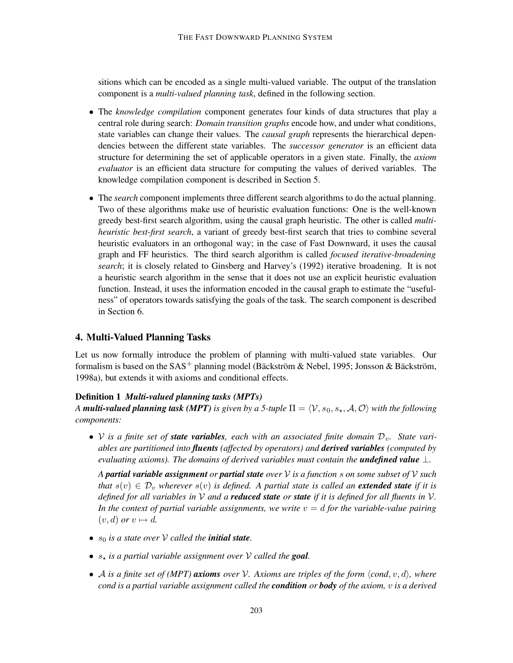sitions which can be encoded as a single multi-valued variable. The output of the translation component is a *multi-valued planning task*, defined in the following section.

- The *knowledge compilation* component generates four kinds of data structures that play a central role during search: *Domain transition graphs* encode how, and under what conditions, state variables can change their values. The *causal graph* represents the hierarchical dependencies between the different state variables. The *successor generator* is an efficient data structure for determining the set of applicable operators in a given state. Finally, the *axiom evaluator* is an efficient data structure for computing the values of derived variables. The knowledge compilation component is described in Section 5.
- The *search* component implements three different search algorithms to do the actual planning. Two of these algorithms make use of heuristic evaluation functions: One is the well-known greedy best-first search algorithm, using the causal graph heuristic. The other is called *multiheuristic best-first search*, a variant of greedy best-first search that tries to combine several heuristic evaluators in an orthogonal way; in the case of Fast Downward, it uses the causal graph and FF heuristics. The third search algorithm is called *focused iterative-broadening search*; it is closely related to Ginsberg and Harvey's (1992) iterative broadening. It is not a heuristic search algorithm in the sense that it does not use an explicit heuristic evaluation function. Instead, it uses the information encoded in the causal graph to estimate the "usefulness" of operators towards satisfying the goals of the task. The search component is described in Section 6.

# **4. Multi-Valued Planning Tasks**

Let us now formally introduce the problem of planning with multi-valued state variables. Our formalism is based on the  $SAS^+$  planning model (Bäckström & Nebel, 1995; Jonsson & Bäckström, 1998a), but extends it with axioms and conditional effects.

# **Definition 1** *Multi-valued planning tasks (MPTs)*

*A multi-valued planning task (MPT) is given by a 5-tuple*  $\Pi = \langle V, s_0, s_*, A, O \rangle$  *with the following components:*

•  $V$  *is a finite set of state variables, each with an associated finite domain*  $\mathcal{D}_v$ . *State variables are partitioned into fluents (affected by operators) and derived variables (computed by evaluating axioms). The domains of derived variables must contain the undefined value* ⊥*.*

*A partial variable assignment or partial state over* V *is a function* s *on some subset of* V *such that*  $s(v) \in \mathcal{D}_v$  *wherever*  $s(v)$  *is defined. A partial state is called an extended state if it is* defined for all variables in  $V$  and a **reduced state** or **state** if it is defined for all fluents in  $V$ . *In the context of partial variable assignments, we write*  $v = d$  *for the variable-value pairing*  $(v, d)$  *or*  $v \mapsto d$ .

- $s_0$  *is a state over*  $V$  *called the initial state.*
- $s_{\star}$  *is a partial variable assignment over V called the goal.*
- A is a finite set of (MPT) **axioms** over V. Axioms are triples of the form  $\langle$ cond, v, d $\rangle$ , where *cond is a partial variable assignment called the condition or body of the axiom,* v *is a derived*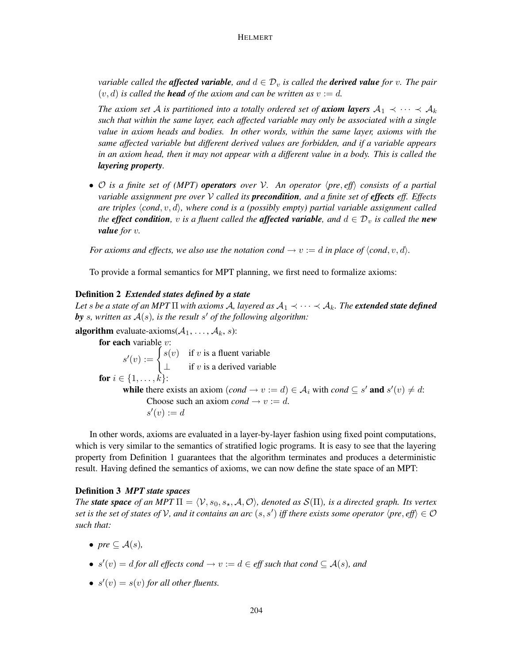*variable called the affected variable, and*  $d \in \mathcal{D}_v$  *is called the derived value for v. The pair*  $(v, d)$  *is called the head of the axiom and can be written as*  $v := d$ *.* 

*The axiom set* A *is partitioned into a totally ordered set of axiom layers*  $A_1 \prec \cdots \prec A_k$ *such that within the same layer, each affected variable may only be associated with a single value in axiom heads and bodies. In other words, within the same layer, axioms with the same affected variable but different derived values are forbidden, and if a variable appears* in an axiom head, then it may not appear with a different value in a body. This is called the *layering property.*

•  $\circ$  *is a finite set of (MPT) operators over V. An operator*  $\langle pre, eff \rangle$  *consists of a partial variable assignment pre over* V *called its precondition, and a finite set of effects eff. Effects are triples*  $\langle cond, v, d \rangle$ *, where cond is a (possibly empty) partial variable assignment called the effect condition*, *v is a fluent called the affected* variable, and  $d \in \mathcal{D}_v$  *is called the new value for* v*.*

*For* axioms and effects, we also use the notation cond  $\rightarrow v := d$  in place of  $\langle cond, v, d \rangle$ .

To provide a formal semantics for MPT planning, we first need to formalize axioms:

### **Definition 2** *Extended states defined by a state*

*Let s be a state of an MPT*  $\Pi$  *with axioms* A, *layered as*  $A_1 \prec \cdots \prec A_k$ . *The extended state defined by* s, written as  $A(s)$ , is the result s' of the following algorithm:

**algorithm** evaluate-axioms  $(A_1, \ldots, A_k, s)$ :

**for each** variable v:

 $s'(v) := \begin{cases} s(v) & \text{if } v \text{ is a fluent variable} \\ \end{cases}$  $\perp$  if v is a derived variable **for**  $i \in \{1, ..., k\}$ : **while** there exists an axiom  $(cond \rightarrow v := d) \in \mathcal{A}_i$  with  $cond \subseteq s'$  and  $s'(v) \neq d$ : Choose such an axiom *cond*  $\rightarrow v := d$ .  $s'(v) := d$ 

In other words, axioms are evaluated in a layer-by-layer fashion using fixed point computations, which is very similar to the semantics of stratified logic programs. It is easy to see that the layering property from Definition 1 guarantees that the algorithm terminates and produces a deterministic result. Having defined the semantics of axioms, we can now define the state space of an MPT:

#### **Definition 3** *MPT state spaces*

*The state space* of an MPT  $\Pi = \langle V, s_0, s_{\star}, A, O \rangle$ , *denoted* as  $S(\Pi)$ *, is a directed graph. Its vertex* set is the set of states of V, and it contains an arc  $(s,s')$  iff there exists some operator  $\langle pre, eff\rangle \in \mathcal{O}$ *such that:*

- *pre*  $\subseteq$   $\mathcal{A}(s)$ ,
- $s'(v) = d$  *for all effects cond*  $\rightarrow v := d \in$  *eff such that cond*  $\subseteq A(s)$ *, and*
- $s'(v) = s(v)$  *for all other fluents.*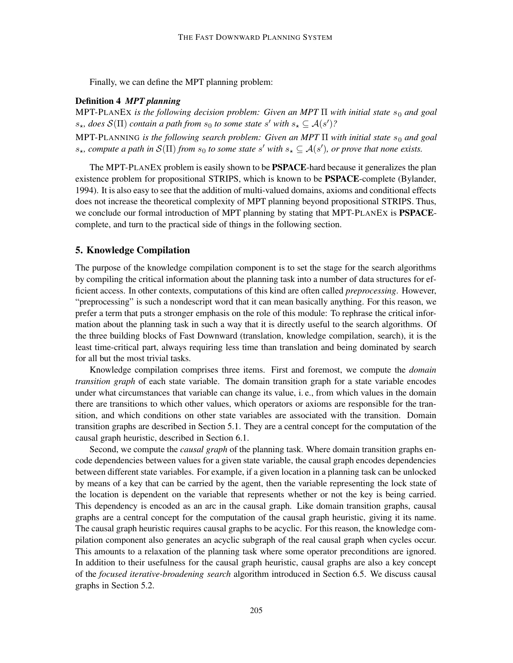Finally, we can define the MPT planning problem:

# **Definition 4** *MPT planning*

MPT-PLANEX *is the following decision problem: Given an MPT*  $\Pi$  *with <i>initial state*  $s_0$  *and goal*  $s_{\star}$ , does  $\mathcal{S}(\Pi)$  contain a path from  $s_0$  to some state s' with  $s_{\star} \subseteq \mathcal{A}(s')$ ?

MPT-PLANNING *is the following search problem: Given an MPT* Π *with initial state* s0 *and goal*  $s_{\star}$ , compute a path in  $\mathcal{S}(\Pi)$  from  $s_0$  to some state s' with  $s_{\star} \subseteq \mathcal{A}(s')$ , or prove that none exists.

The MPT-PLANEX problem is easily shown to be **PSPACE**-hard because it generalizes the plan existence problem for propositional STRIPS, which is known to be **PSPACE**-complete (Bylander, 1994). It is also easy to see that the addition of multi-valued domains, axioms and conditional effects does not increase the theoretical complexity of MPT planning beyond propositional STRIPS. Thus, we conclude our formal introduction of MPT planning by stating that MPT-PLANEX is **PSPACE**complete, and turn to the practical side of things in the following section.

# **5. Knowledge Compilation**

The purpose of the knowledge compilation component is to set the stage for the search algorithms by compiling the critical information about the planning task into a number of data structures for efficient access. In other contexts, computations of this kind are often called *preprocessing*. However, "preprocessing" is such a nondescript word that it can mean basically anything. For this reason, we prefer a term that puts a stronger emphasis on the role of this module: To rephrase the critical information about the planning task in such a way that it is directly useful to the search algorithms. Of the three building blocks of Fast Downward (translation, knowledge compilation, search), it is the least time-critical part, always requiring less time than translation and being dominated by search for all but the most trivial tasks.

Knowledge compilation comprises three items. First and foremost, we compute the *domain transition graph* of each state variable. The domain transition graph for a state variable encodes under what circumstances that variable can change its value, i. e., from which values in the domain there are transitions to which other values, which operators or axioms are responsible for the transition, and which conditions on other state variables are associated with the transition. Domain transition graphs are described in Section 5.1. They are a central concept for the computation of the causal graph heuristic, described in Section 6.1.

Second, we compute the *causal graph* of the planning task. Where domain transition graphs encode dependencies between values for a given state variable, the causal graph encodes dependencies between different state variables. For example, if a given location in a planning task can be unlocked by means of a key that can be carried by the agent, then the variable representing the lock state of the location is dependent on the variable that represents whether or not the key is being carried. This dependency is encoded as an arc in the causal graph. Like domain transition graphs, causal graphs are a central concept for the computation of the causal graph heuristic, giving it its name. The causal graph heuristic requires causal graphs to be acyclic. For this reason, the knowledge compilation component also generates an acyclic subgraph of the real causal graph when cycles occur. This amounts to a relaxation of the planning task where some operator preconditions are ignored. In addition to their usefulness for the causal graph heuristic, causal graphs are also a key concept of the *focused iterative-broadening search* algorithm introduced in Section 6.5. We discuss causal graphs in Section 5.2.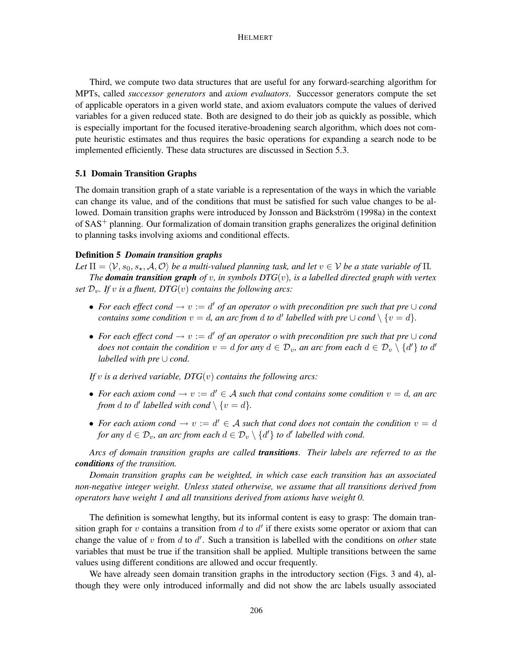Third, we compute two data structures that are useful for any forward-searching algorithm for MPTs, called *successor generators* and *axiom evaluators*. Successor generators compute the set of applicable operators in a given world state, and axiom evaluators compute the values of derived variables for a given reduced state. Both are designed to do their job as quickly as possible, which is especially important for the focused iterative-broadening search algorithm, which does not compute heuristic estimates and thus requires the basic operations for expanding a search node to be implemented efficiently. These data structures are discussed in Section 5.3.

### **5.1 Domain Transition Graphs**

The domain transition graph of a state variable is a representation of the ways in which the variable can change its value, and of the conditions that must be satisfied for such value changes to be allowed. Domain transition graphs were introduced by Jonsson and Bäckström (1998a) in the context of  $SAS<sup>+</sup>$  planning. Our formalization of domain transition graphs generalizes the original definition to planning tasks involving axioms and conditional effects.

### **Definition 5** *Domain transition graphs*

*Let*  $\Pi = \langle V, s_0, s_{\star}, \mathcal{A}, \mathcal{O} \rangle$  *be a multi-valued planning task, and let*  $v \in V$  *be a state variable of*  $\Pi$ *. The* **domain transition graph** of v, in symbols  $DTG(v)$ , is a labelled directed graph with vertex *set*  $\mathcal{D}_v$ *. If v is a fluent,*  $DTG(v)$  *contains the following arcs:* 

- *For each effect cond* → v := d <sup>0</sup> *of an operator* o *with precondition pre such that pre* ∪ *cond contains some condition*  $v = d$ *, an arc from* d to d' labelled with pre  $\cup$  *cond*  $\setminus$  { $v = d$ }*.*
- For each effect cond  $\rightarrow v := d'$  of an operator o with precondition pre such that pre  $\cup$  cond *does not contain the condition*  $v = d$  *for any*  $d \in \mathcal{D}_v$ *, an arc from each*  $d \in \mathcal{D}_v \setminus \{d'\}$  *to*  $d'$ *labelled with pre* ∪ *cond.*

*If* v *is a derived variable, DTG*(v) *contains the following arcs:*

- For each axiom cond  $\rightarrow v := d' \in A$  such that cond contains some condition  $v = d$ , an arc *from d to d' labelled with cond*  $\setminus$  {*v* = *d*}.
- For each axiom cond  $\rightarrow v := d' \in A$  such that cond does not contain the condition  $v = d$ *for any*  $d \in \mathcal{D}_v$ , *an arc from each*  $d \in \mathcal{D}_v \setminus \{d'\}$  *to*  $d'$  *labelled with cond.*

*Arcs of domain transition graphs are called transitions. Their labels are referred to as the conditions of the transition.*

*Domain transition graphs can be weighted, in which case each transition has an associated non-negative integer weight. Unless stated otherwise, we assume that all transitions derived from operators have weight 1 and all transitions derived from axioms have weight 0.*

The definition is somewhat lengthy, but its informal content is easy to grasp: The domain transition graph for  $v$  contains a transition from  $d$  to  $d'$  if there exists some operator or axiom that can change the value of  $v$  from  $d$  to  $d'$ . Such a transition is labelled with the conditions on *other* state variables that must be true if the transition shall be applied. Multiple transitions between the same values using different conditions are allowed and occur frequently.

We have already seen domain transition graphs in the introductory section (Figs. 3 and 4), although they were only introduced informally and did not show the arc labels usually associated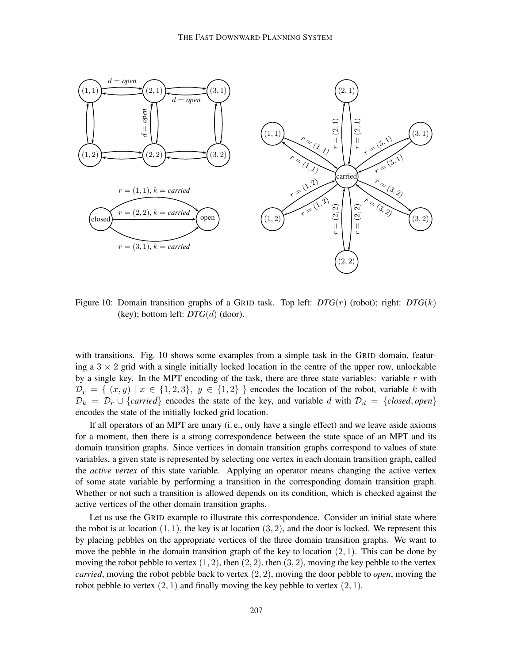

Figure 10: Domain transition graphs of a GRID task. Top left:  $DTG(r)$  (robot); right:  $DTG(k)$ (key); bottom left: *DTG*(d) (door).

with transitions. Fig. 10 shows some examples from a simple task in the GRID domain, featuring a  $3 \times 2$  grid with a single initially locked location in the centre of the upper row, unlockable by a single key. In the MPT encoding of the task, there are three state variables: variable  $r$  with  $\mathcal{D}_r = \{ (x, y) \mid x \in \{1, 2, 3\}, y \in \{1, 2\} \}$  encodes the location of the robot, variable k with  $\mathcal{D}_k = \mathcal{D}_r \cup \{carried\}$  encodes the state of the key, and variable d with  $\mathcal{D}_d = \{closed, open\}$ encodes the state of the initially locked grid location.

If all operators of an MPT are unary (i. e., only have a single effect) and we leave aside axioms for a moment, then there is a strong correspondence between the state space of an MPT and its domain transition graphs. Since vertices in domain transition graphs correspond to values of state variables, a given state is represented by selecting one vertex in each domain transition graph, called the *active vertex* of this state variable. Applying an operator means changing the active vertex of some state variable by performing a transition in the corresponding domain transition graph. Whether or not such a transition is allowed depends on its condition, which is checked against the active vertices of the other domain transition graphs.

Let us use the GRID example to illustrate this correspondence. Consider an initial state where the robot is at location  $(1, 1)$ , the key is at location  $(3, 2)$ , and the door is locked. We represent this by placing pebbles on the appropriate vertices of the three domain transition graphs. We want to move the pebble in the domain transition graph of the key to location  $(2, 1)$ . This can be done by moving the robot pebble to vertex  $(1, 2)$ , then  $(2, 2)$ , then  $(3, 2)$ , moving the key pebble to the vertex *carried*, moving the robot pebble back to vertex (2, 2), moving the door pebble to *open*, moving the robot pebble to vertex  $(2, 1)$  and finally moving the key pebble to vertex  $(2, 1)$ .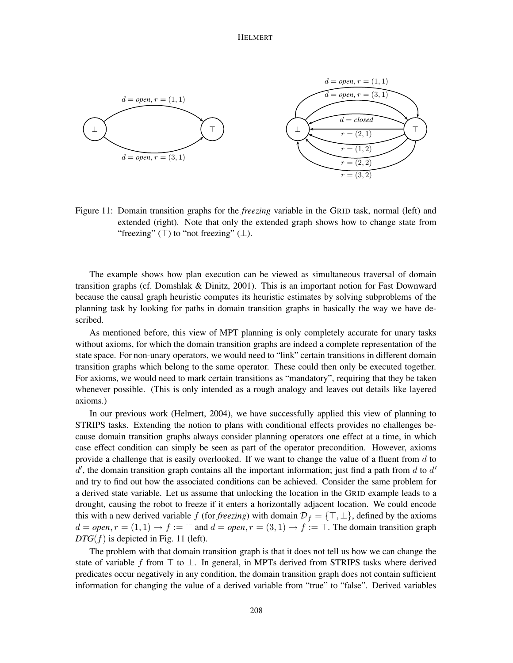

Figure 11: Domain transition graphs for the *freezing* variable in the GRID task, normal (left) and extended (right). Note that only the extended graph shows how to change state from "freezing"  $(T)$  to "not freezing"  $(\perp)$ .

The example shows how plan execution can be viewed as simultaneous traversal of domain transition graphs (cf. Domshlak & Dinitz, 2001). This is an important notion for Fast Downward because the causal graph heuristic computes its heuristic estimates by solving subproblems of the planning task by looking for paths in domain transition graphs in basically the way we have described.

As mentioned before, this view of MPT planning is only completely accurate for unary tasks without axioms, for which the domain transition graphs are indeed a complete representation of the state space. For non-unary operators, we would need to "link" certain transitions in different domain transition graphs which belong to the same operator. These could then only be executed together. For axioms, we would need to mark certain transitions as "mandatory", requiring that they be taken whenever possible. (This is only intended as a rough analogy and leaves out details like layered axioms.)

In our previous work (Helmert, 2004), we have successfully applied this view of planning to STRIPS tasks. Extending the notion to plans with conditional effects provides no challenges because domain transition graphs always consider planning operators one effect at a time, in which case effect condition can simply be seen as part of the operator precondition. However, axioms provide a challenge that is easily overlooked. If we want to change the value of a fluent from  $d$  to  $d'$ , the domain transition graph contains all the important information; just find a path from  $d$  to  $d'$ and try to find out how the associated conditions can be achieved. Consider the same problem for a derived state variable. Let us assume that unlocking the location in the GRID example leads to a drought, causing the robot to freeze if it enters a horizontally adjacent location. We could encode this with a new derived variable f (for *freezing*) with domain  $\mathcal{D}_f = \{\top, \bot\}$ , defined by the axioms  $d = open, r = (1, 1) \rightarrow f := \top$  and  $d = open, r = (3, 1) \rightarrow f := \top$ . The domain transition graph  $DTG(f)$  is depicted in Fig. 11 (left).

The problem with that domain transition graph is that it does not tell us how we can change the state of variable f from  $\top$  to  $\bot$ . In general, in MPTs derived from STRIPS tasks where derived predicates occur negatively in any condition, the domain transition graph does not contain sufficient information for changing the value of a derived variable from "true" to "false". Derived variables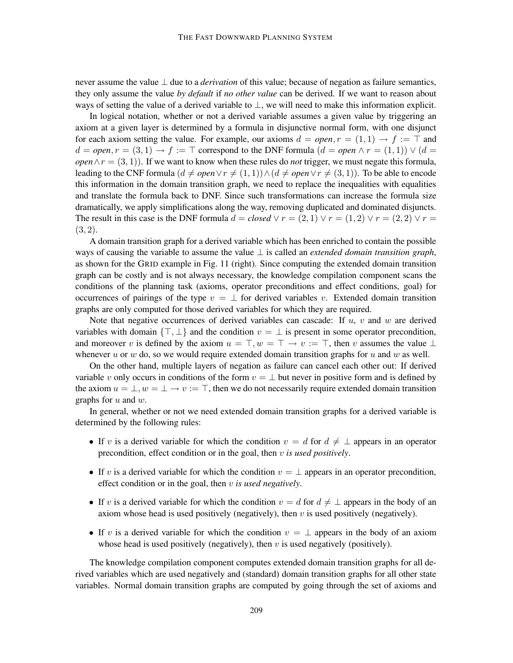never assume the value ⊥ due to a *derivation* of this value; because of negation as failure semantics, they only assume the value *by default* if *no other value* can be derived. If we want to reason about ways of setting the value of a derived variable to  $\perp$ , we will need to make this information explicit.

In logical notation, whether or not a derived variable assumes a given value by triggering an axiom at a given layer is determined by a formula in disjunctive normal form, with one disjunct for each axiom setting the value. For example, our axioms  $d = open, r = (1, 1) \rightarrow f := \top$  and  $d = open, r = (3, 1) \rightarrow f := \top$  correspond to the DNF formula  $(d = open \land r = (1, 1)) \lor (d =$ *open*  $\wedge r = (3, 1)$ . If we want to know when these rules do *not* trigger, we must negate this formula, leading to the CNF formula  $(d \neq open \lor r \neq (1, 1)) \land (d \neq open \lor r \neq (3, 1)).$  To be able to encode this information in the domain transition graph, we need to replace the inequalities with equalities and translate the formula back to DNF. Since such transformations can increase the formula size dramatically, we apply simplifications along the way, removing duplicated and dominated disjuncts. The result in this case is the DNF formula  $d = closed \vee r = (2, 1) \vee r = (1, 2) \vee r = (2, 2) \vee r =$  $(3, 2).$ 

A domain transition graph for a derived variable which has been enriched to contain the possible ways of causing the variable to assume the value ⊥ is called an *extended domain transition graph*, as shown for the GRID example in Fig. 11 (right). Since computing the extended domain transition graph can be costly and is not always necessary, the knowledge compilation component scans the conditions of the planning task (axioms, operator preconditions and effect conditions, goal) for occurrences of pairings of the type  $v = \perp$  for derived variables v. Extended domain transition graphs are only computed for those derived variables for which they are required.

Note that negative occurrences of derived variables can cascade: If  $u$ ,  $v$  and  $w$  are derived variables with domain  $\{\top, \bot\}$  and the condition  $v = \bot$  is present in some operator precondition, and moreover v is defined by the axiom  $u = \top, w = \top \rightarrow v := \top$ , then v assumes the value  $\bot$ whenever u or w do, so we would require extended domain transition graphs for u and w as well.

On the other hand, multiple layers of negation as failure can cancel each other out: If derived variable v only occurs in conditions of the form  $v = \perp$  but never in positive form and is defined by the axiom  $u = \perp, w = \perp \rightarrow v := \top$ , then we do not necessarily require extended domain transition graphs for  $u$  and  $w$ .

In general, whether or not we need extended domain transition graphs for a derived variable is determined by the following rules:

- If v is a derived variable for which the condition  $v = d$  for  $d \neq \perp$  appears in an operator precondition, effect condition or in the goal, then v *is used positively*.
- If v is a derived variable for which the condition  $v = \perp$  appears in an operator precondition, effect condition or in the goal, then v *is used negatively*.
- If v is a derived variable for which the condition  $v = d$  for  $d \neq \perp$  appears in the body of an axiom whose head is used positively (negatively), then  $v$  is used positively (negatively).
- If v is a derived variable for which the condition  $v = \perp$  appears in the body of an axiom whose head is used positively (negatively), then  $v$  is used negatively (positively).

The knowledge compilation component computes extended domain transition graphs for all derived variables which are used negatively and (standard) domain transition graphs for all other state variables. Normal domain transition graphs are computed by going through the set of axioms and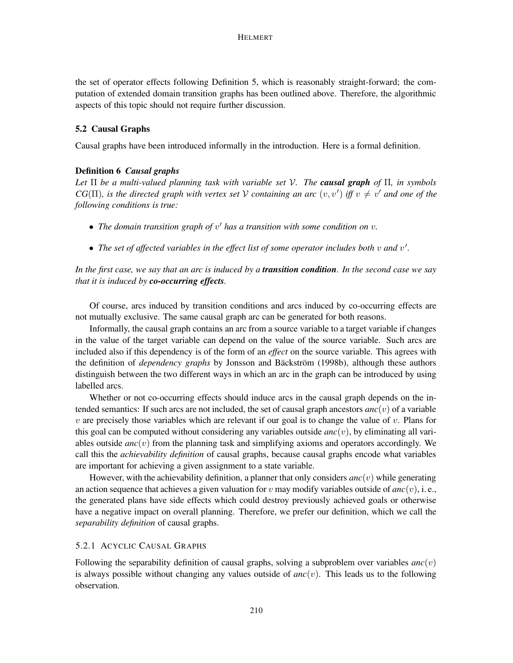the set of operator effects following Definition 5, which is reasonably straight-forward; the computation of extended domain transition graphs has been outlined above. Therefore, the algorithmic aspects of this topic should not require further discussion.

# **5.2 Causal Graphs**

Causal graphs have been introduced informally in the introduction. Here is a formal definition.

## **Definition 6** *Causal graphs*

*Let* Π *be a multi-valued planning task with variable set* V*. The causal graph of* Π*, in symbols*  $CG(\Pi)$ , is the directed graph with vertex set V containing an arc  $(v, v')$  iff  $v \neq v'$  and one of the *following conditions is true:*

- *The domain transition graph of* v <sup>0</sup> *has a transition with some condition on* v*.*
- *The set of affected variables in the effect list of some operator includes both* v *and* v 0 *.*

In the first case, we say that an arc is induced by a **transition condition**. In the second case we say *that it is induced by co-occurring effects.*

Of course, arcs induced by transition conditions and arcs induced by co-occurring effects are not mutually exclusive. The same causal graph arc can be generated for both reasons.

Informally, the causal graph contains an arc from a source variable to a target variable if changes in the value of the target variable can depend on the value of the source variable. Such arcs are included also if this dependency is of the form of an *effect* on the source variable. This agrees with the definition of *dependency graphs* by Jonsson and Bäckström (1998b), although these authors distinguish between the two different ways in which an arc in the graph can be introduced by using labelled arcs.

Whether or not co-occurring effects should induce arcs in the causal graph depends on the intended semantics: If such arcs are not included, the set of causal graph ancestors  $anc(v)$  of a variable  $v$  are precisely those variables which are relevant if our goal is to change the value of  $v$ . Plans for this goal can be computed without considering any variables outside *anc*(v), by eliminating all variables outside *anc*(v) from the planning task and simplifying axioms and operators accordingly. We call this the *achievability definition* of causal graphs, because causal graphs encode what variables are important for achieving a given assignment to a state variable.

However, with the achievability definition, a planner that only considers  $anc(v)$  while generating an action sequence that achieves a given valuation for v may modify variables outside of  $anc(v)$ , i. e., the generated plans have side effects which could destroy previously achieved goals or otherwise have a negative impact on overall planning. Therefore, we prefer our definition, which we call the *separability definition* of causal graphs.

### 5.2.1 ACYCLIC CAUSAL GRAPHS

Following the separability definition of causal graphs, solving a subproblem over variables *anc*(v) is always possible without changing any values outside of *anc*(v). This leads us to the following observation.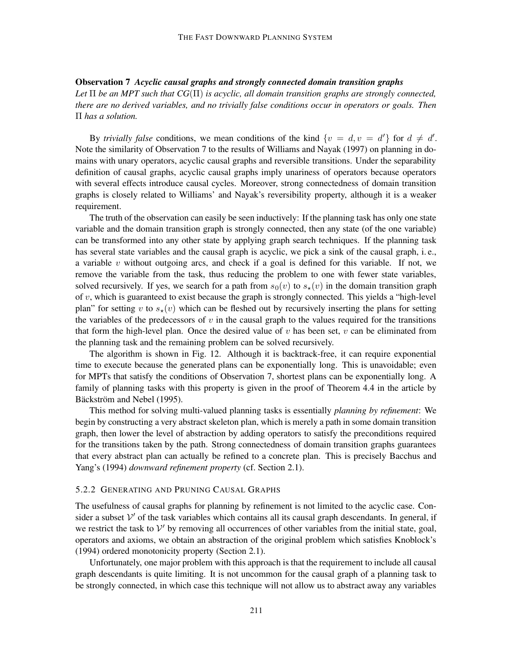### **Observation 7** *Acyclic causal graphs and strongly connected domain transition graphs*

*Let* Π *be an MPT such that CG*(Π) *is acyclic, all domain transition graphs are strongly connected, there are no derived variables, and no trivially false conditions occur in operators or goals. Then* Π *has a solution.*

By *trivially false* conditions, we mean conditions of the kind  $\{v = d, v = d'\}$  for  $d \neq d'$ . Note the similarity of Observation 7 to the results of Williams and Nayak (1997) on planning in domains with unary operators, acyclic causal graphs and reversible transitions. Under the separability definition of causal graphs, acyclic causal graphs imply unariness of operators because operators with several effects introduce causal cycles. Moreover, strong connectedness of domain transition graphs is closely related to Williams' and Nayak's reversibility property, although it is a weaker requirement.

The truth of the observation can easily be seen inductively: If the planning task has only one state variable and the domain transition graph is strongly connected, then any state (of the one variable) can be transformed into any other state by applying graph search techniques. If the planning task has several state variables and the causal graph is acyclic, we pick a sink of the causal graph, i. e., a variable  $v$  without outgoing arcs, and check if a goal is defined for this variable. If not, we remove the variable from the task, thus reducing the problem to one with fewer state variables, solved recursively. If yes, we search for a path from  $s_0(v)$  to  $s_{\star}(v)$  in the domain transition graph of  $v$ , which is guaranteed to exist because the graph is strongly connected. This yields a "high-level" plan" for setting v to  $s_{\star}(v)$  which can be fleshed out by recursively inserting the plans for setting the variables of the predecessors of  $v$  in the causal graph to the values required for the transitions that form the high-level plan. Once the desired value of  $v$  has been set,  $v$  can be eliminated from the planning task and the remaining problem can be solved recursively.

The algorithm is shown in Fig. 12. Although it is backtrack-free, it can require exponential time to execute because the generated plans can be exponentially long. This is unavoidable; even for MPTs that satisfy the conditions of Observation 7, shortest plans can be exponentially long. A family of planning tasks with this property is given in the proof of Theorem 4.4 in the article by Bäckström and Nebel (1995).

This method for solving multi-valued planning tasks is essentially *planning by refinement*: We begin by constructing a very abstract skeleton plan, which is merely a path in some domain transition graph, then lower the level of abstraction by adding operators to satisfy the preconditions required for the transitions taken by the path. Strong connectedness of domain transition graphs guarantees that every abstract plan can actually be refined to a concrete plan. This is precisely Bacchus and Yang's (1994) *downward refinement property* (cf. Section 2.1).

### 5.2.2 GENERATING AND PRUNING CAUSAL GRAPHS

The usefulness of causal graphs for planning by refinement is not limited to the acyclic case. Consider a subset  $V'$  of the task variables which contains all its causal graph descendants. In general, if we restrict the task to  $V'$  by removing all occurrences of other variables from the initial state, goal, operators and axioms, we obtain an abstraction of the original problem which satisfies Knoblock's (1994) ordered monotonicity property (Section 2.1).

Unfortunately, one major problem with this approach is that the requirement to include all causal graph descendants is quite limiting. It is not uncommon for the causal graph of a planning task to be strongly connected, in which case this technique will not allow us to abstract away any variables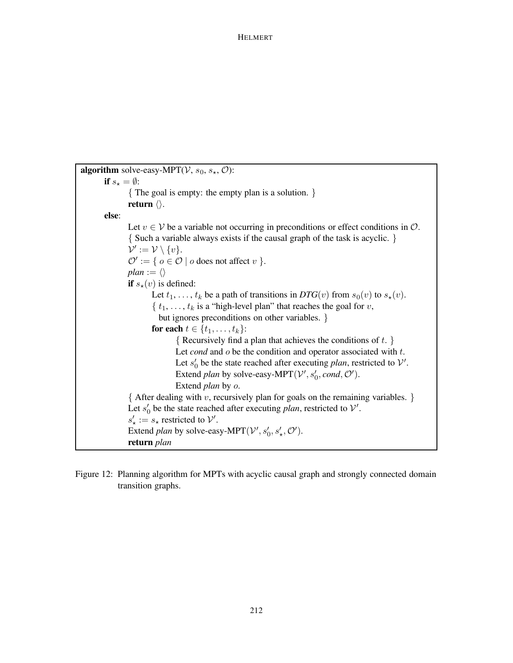**algorithm** solve-easy-MPT( $V$ ,  $s_0$ ,  $s_{\star}$ ,  $\mathcal{O}$ ): **if**  $s_{\star} = \emptyset$ : { The goal is empty: the empty plan is a solution. } **return**  $\langle \rangle$ . **else**: Let  $v \in V$  be a variable not occurring in preconditions or effect conditions in  $\mathcal{O}$ . { Such a variable always exists if the causal graph of the task is acyclic. }  $\mathcal{V}' := \mathcal{V} \setminus \{v\}.$  $\mathcal{O}' := \{ o \in \mathcal{O} \mid o \text{ does not affect } v \}.$ *plan* :=  $\langle \rangle$ **if**  $s_*(v)$  is defined: Let  $t_1, \ldots, t_k$  be a path of transitions in  $DTG(v)$  from  $s_0(v)$  to  $s_*(v)$ .  $\{t_1, \ldots, t_k$  is a "high-level plan" that reaches the goal for v, but ignores preconditions on other variables. } **for each**  $t \in \{t_1, ..., t_k\}$ :  $\{$  Recursively find a plan that achieves the conditions of  $t.$   $\}$ Let *cond* and *o* be the condition and operator associated with t. Let  $s'_0$  be the state reached after executing *plan*, restricted to  $V'$ . Extend *plan* by solve-easy-MPT $(V', s'_0, cond, O').$ Extend *plan* by o.  $\{$  After dealing with v, recursively plan for goals on the remaining variables.  $\}$ Let  $s'_0$  be the state reached after executing *plan*, restricted to  $V'$ .  $s'_{\star} := s_{\star}$  restricted to  $\mathcal{V}'$ . Extend *plan* by solve-easy-MPT( $V', s'_0, s'_\star, O'$ ). **return** *plan*

Figure 12: Planning algorithm for MPTs with acyclic causal graph and strongly connected domain transition graphs.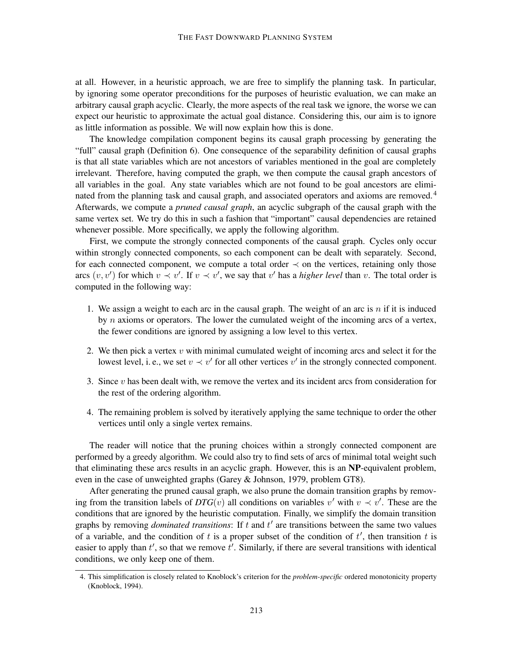at all. However, in a heuristic approach, we are free to simplify the planning task. In particular, by ignoring some operator preconditions for the purposes of heuristic evaluation, we can make an arbitrary causal graph acyclic. Clearly, the more aspects of the real task we ignore, the worse we can expect our heuristic to approximate the actual goal distance. Considering this, our aim is to ignore as little information as possible. We will now explain how this is done.

The knowledge compilation component begins its causal graph processing by generating the "full" causal graph (Definition 6). One consequence of the separability definition of causal graphs is that all state variables which are not ancestors of variables mentioned in the goal are completely irrelevant. Therefore, having computed the graph, we then compute the causal graph ancestors of all variables in the goal. Any state variables which are not found to be goal ancestors are eliminated from the planning task and causal graph, and associated operators and axioms are removed.<sup>4</sup> Afterwards, we compute a *pruned causal graph*, an acyclic subgraph of the causal graph with the same vertex set. We try do this in such a fashion that "important" causal dependencies are retained whenever possible. More specifically, we apply the following algorithm.

First, we compute the strongly connected components of the causal graph. Cycles only occur within strongly connected components, so each component can be dealt with separately. Second, for each connected component, we compute a total order  $\prec$  on the vertices, retaining only those arcs  $(v, v')$  for which  $v \prec v'$ . If  $v \prec v'$ , we say that v' has a *higher level* than v. The total order is computed in the following way:

- 1. We assign a weight to each arc in the causal graph. The weight of an arc is  $n$  if it is induced by  $n$  axioms or operators. The lower the cumulated weight of the incoming arcs of a vertex, the fewer conditions are ignored by assigning a low level to this vertex.
- 2. We then pick a vertex v with minimal cumulated weight of incoming arcs and select it for the lowest level, i. e., we set  $v \prec v'$  for all other vertices  $v'$  in the strongly connected component.
- 3. Since  $v$  has been dealt with, we remove the vertex and its incident arcs from consideration for the rest of the ordering algorithm.
- 4. The remaining problem is solved by iteratively applying the same technique to order the other vertices until only a single vertex remains.

The reader will notice that the pruning choices within a strongly connected component are performed by a greedy algorithm. We could also try to find sets of arcs of minimal total weight such that eliminating these arcs results in an acyclic graph. However, this is an **NP**-equivalent problem, even in the case of unweighted graphs (Garey & Johnson, 1979, problem GT8).

After generating the pruned causal graph, we also prune the domain transition graphs by removing from the transition labels of  $DTG(v)$  all conditions on variables v' with  $v \prec v'$ . These are the conditions that are ignored by the heuristic computation. Finally, we simplify the domain transition graphs by removing *dominated transitions*: If  $t$  and  $t'$  are transitions between the same two values of a variable, and the condition of t is a proper subset of the condition of  $t'$ , then transition t is easier to apply than  $t'$ , so that we remove  $t'$ . Similarly, if there are several transitions with identical conditions, we only keep one of them.

<sup>4.</sup> This simplification is closely related to Knoblock's criterion for the *problem-specific* ordered monotonicity property (Knoblock, 1994).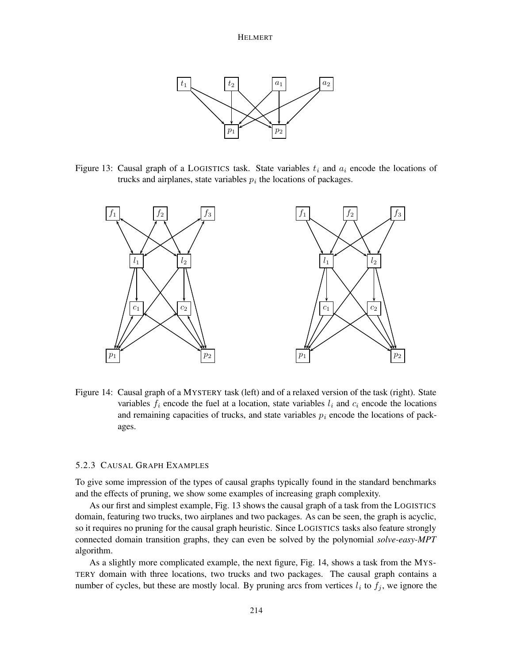

Figure 13: Causal graph of a LOGISTICS task. State variables  $t_i$  and  $a_i$  encode the locations of trucks and airplanes, state variables  $p_i$  the locations of packages.



Figure 14: Causal graph of a MYSTERY task (left) and of a relaxed version of the task (right). State variables  $f_i$  encode the fuel at a location, state variables  $l_i$  and  $c_i$  encode the locations and remaining capacities of trucks, and state variables  $p_i$  encode the locations of packages.

# 5.2.3 CAUSAL GRAPH EXAMPLES

To give some impression of the types of causal graphs typically found in the standard benchmarks and the effects of pruning, we show some examples of increasing graph complexity.

As our first and simplest example, Fig. 13 shows the causal graph of a task from the LOGISTICS domain, featuring two trucks, two airplanes and two packages. As can be seen, the graph is acyclic, so it requires no pruning for the causal graph heuristic. Since LOGISTICS tasks also feature strongly connected domain transition graphs, they can even be solved by the polynomial *solve-easy-MPT* algorithm.

As a slightly more complicated example, the next figure, Fig. 14, shows a task from the MYS-TERY domain with three locations, two trucks and two packages. The causal graph contains a number of cycles, but these are mostly local. By pruning arcs from vertices  $l_i$  to  $f_j$ , we ignore the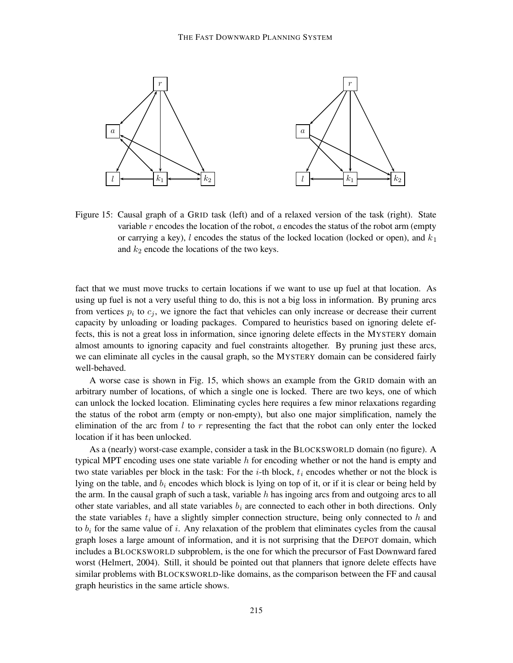

Figure 15: Causal graph of a GRID task (left) and of a relaxed version of the task (right). State variable  $r$  encodes the location of the robot,  $a$  encodes the status of the robot arm (empty or carrying a key), l encodes the status of the locked location (locked or open), and  $k_1$ and  $k_2$  encode the locations of the two keys.

fact that we must move trucks to certain locations if we want to use up fuel at that location. As using up fuel is not a very useful thing to do, this is not a big loss in information. By pruning arcs from vertices  $p_i$  to  $c_j$ , we ignore the fact that vehicles can only increase or decrease their current capacity by unloading or loading packages. Compared to heuristics based on ignoring delete effects, this is not a great loss in information, since ignoring delete effects in the MYSTERY domain almost amounts to ignoring capacity and fuel constraints altogether. By pruning just these arcs, we can eliminate all cycles in the causal graph, so the MYSTERY domain can be considered fairly well-behaved.

A worse case is shown in Fig. 15, which shows an example from the GRID domain with an arbitrary number of locations, of which a single one is locked. There are two keys, one of which can unlock the locked location. Eliminating cycles here requires a few minor relaxations regarding the status of the robot arm (empty or non-empty), but also one major simplification, namely the elimination of the arc from  $l$  to  $r$  representing the fact that the robot can only enter the locked location if it has been unlocked.

As a (nearly) worst-case example, consider a task in the BLOCKSWORLD domain (no figure). A typical MPT encoding uses one state variable  $h$  for encoding whether or not the hand is empty and two state variables per block in the task: For the  $i$ -th block,  $t_i$  encodes whether or not the block is lying on the table, and  $b_i$  encodes which block is lying on top of it, or if it is clear or being held by the arm. In the causal graph of such a task, variable  $h$  has ingoing arcs from and outgoing arcs to all other state variables, and all state variables  $b_i$  are connected to each other in both directions. Only the state variables  $t_i$  have a slightly simpler connection structure, being only connected to h and to  $b_i$  for the same value of i. Any relaxation of the problem that eliminates cycles from the causal graph loses a large amount of information, and it is not surprising that the DEPOT domain, which includes a BLOCKSWORLD subproblem, is the one for which the precursor of Fast Downward fared worst (Helmert, 2004). Still, it should be pointed out that planners that ignore delete effects have similar problems with BLOCKSWORLD-like domains, as the comparison between the FF and causal graph heuristics in the same article shows.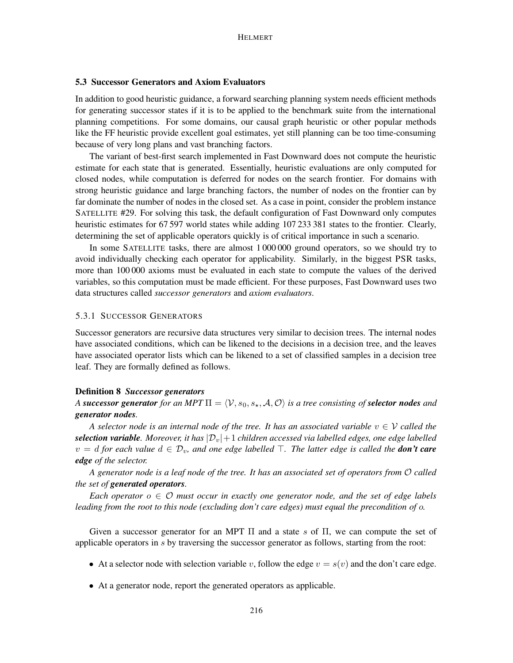### **5.3 Successor Generators and Axiom Evaluators**

In addition to good heuristic guidance, a forward searching planning system needs efficient methods for generating successor states if it is to be applied to the benchmark suite from the international planning competitions. For some domains, our causal graph heuristic or other popular methods like the FF heuristic provide excellent goal estimates, yet still planning can be too time-consuming because of very long plans and vast branching factors.

The variant of best-first search implemented in Fast Downward does not compute the heuristic estimate for each state that is generated. Essentially, heuristic evaluations are only computed for closed nodes, while computation is deferred for nodes on the search frontier. For domains with strong heuristic guidance and large branching factors, the number of nodes on the frontier can by far dominate the number of nodes in the closed set. As a case in point, consider the problem instance SATELLITE #29. For solving this task, the default configuration of Fast Downward only computes heuristic estimates for 67 597 world states while adding 107 233 381 states to the frontier. Clearly, determining the set of applicable operators quickly is of critical importance in such a scenario.

In some SATELLITE tasks, there are almost 1 000 000 ground operators, so we should try to avoid individually checking each operator for applicability. Similarly, in the biggest PSR tasks, more than 100 000 axioms must be evaluated in each state to compute the values of the derived variables, so this computation must be made efficient. For these purposes, Fast Downward uses two data structures called *successor generators* and *axiom evaluators*.

#### 5.3.1 SUCCESSOR GENERATORS

Successor generators are recursive data structures very similar to decision trees. The internal nodes have associated conditions, which can be likened to the decisions in a decision tree, and the leaves have associated operator lists which can be likened to a set of classified samples in a decision tree leaf. They are formally defined as follows.

#### **Definition 8** *Successor generators*

*A* **successor generator** for an MPT  $\Pi = \langle V, s_0, s_{\star}, A, C \rangle$  is a tree consisting of **selector nodes** and *generator nodes.*

*A* selector node is an internal node of the tree. It has an associated variable  $v \in V$  called the *selection variable.* Moreover, it has  $|\mathcal{D}_v|+1$  *children* accessed via *labelled edges,* one *edge labelled*  $v = d$  *for* each value  $d \in \mathcal{D}_v$ , and one edge labelled  $\top$ . The latter edge is called the **don't care** *edge of the selector.*

A generator node is a leaf node of the tree. It has an associated set of operators from  $\mathcal O$  called *the set of generated operators.*

*Each operator*  $o \in \mathcal{O}$  *must occur in exactly one generator node*, *and the set of edge labels leading from the root to this node (excluding don't care edges) must equal the precondition of* o*.*

Given a successor generator for an MPT  $\Pi$  and a state s of  $\Pi$ , we can compute the set of applicable operators in  $s$  by traversing the successor generator as follows, starting from the root:

- At a selector node with selection variable v, follow the edge  $v = s(v)$  and the don't care edge.
- At a generator node, report the generated operators as applicable.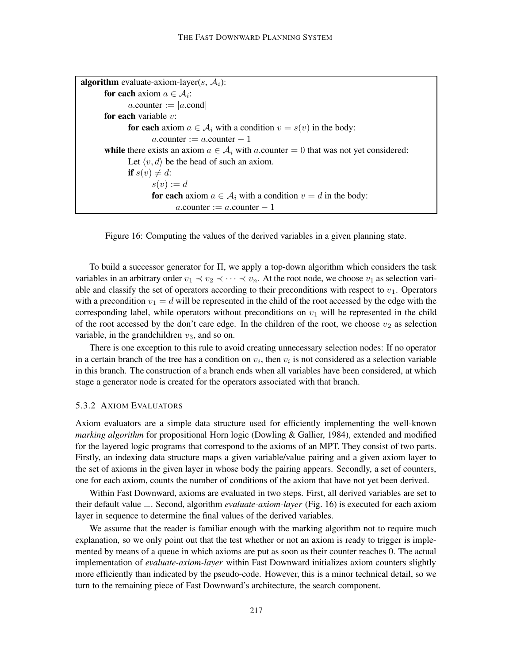```
algorithm evaluate-axiom-layer(s, A_i):
       for each axiom a \in \mathcal{A}_i:
             a.counter := |a.cond
       for each variable v:
             for each axiom a \in A_i with a condition v = s(v) in the body:
                    a.counter := a.counter - 1
       while there exists an axiom a \in A_i with a.counter = 0 that was not yet considered:
             Let \langle v, d \rangle be the head of such an axiom.
             if s(v) \neq d:
                    s(v) := dfor each axiom a \in A_i with a condition v = d in the body:
                           a.counter := a.counter - 1
```
Figure 16: Computing the values of the derived variables in a given planning state.

To build a successor generator for Π, we apply a top-down algorithm which considers the task variables in an arbitrary order  $v_1 \prec v_2 \prec \cdots \prec v_n$ . At the root node, we choose  $v_1$  as selection variable and classify the set of operators according to their preconditions with respect to  $v_1$ . Operators with a precondition  $v_1 = d$  will be represented in the child of the root accessed by the edge with the corresponding label, while operators without preconditions on  $v_1$  will be represented in the child of the root accessed by the don't care edge. In the children of the root, we choose  $v_2$  as selection variable, in the grandchildren  $v_3$ , and so on.

There is one exception to this rule to avoid creating unnecessary selection nodes: If no operator in a certain branch of the tree has a condition on  $v_i$ , then  $v_i$  is not considered as a selection variable in this branch. The construction of a branch ends when all variables have been considered, at which stage a generator node is created for the operators associated with that branch.

#### 5.3.2 AXIOM EVALUATORS

Axiom evaluators are a simple data structure used for efficiently implementing the well-known *marking algorithm* for propositional Horn logic (Dowling & Gallier, 1984), extended and modified for the layered logic programs that correspond to the axioms of an MPT. They consist of two parts. Firstly, an indexing data structure maps a given variable/value pairing and a given axiom layer to the set of axioms in the given layer in whose body the pairing appears. Secondly, a set of counters, one for each axiom, counts the number of conditions of the axiom that have not yet been derived.

Within Fast Downward, axioms are evaluated in two steps. First, all derived variables are set to their default value ⊥. Second, algorithm *evaluate-axiom-layer* (Fig. 16) is executed for each axiom layer in sequence to determine the final values of the derived variables.

We assume that the reader is familiar enough with the marking algorithm not to require much explanation, so we only point out that the test whether or not an axiom is ready to trigger is implemented by means of a queue in which axioms are put as soon as their counter reaches 0. The actual implementation of *evaluate-axiom-layer* within Fast Downward initializes axiom counters slightly more efficiently than indicated by the pseudo-code. However, this is a minor technical detail, so we turn to the remaining piece of Fast Downward's architecture, the search component.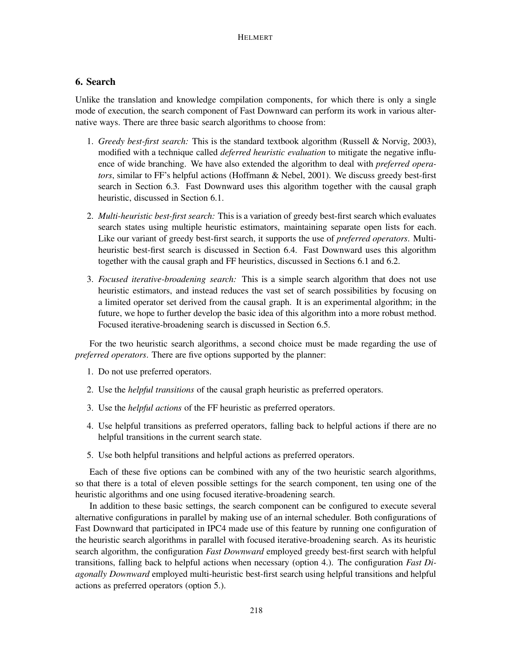# **6. Search**

Unlike the translation and knowledge compilation components, for which there is only a single mode of execution, the search component of Fast Downward can perform its work in various alternative ways. There are three basic search algorithms to choose from:

- 1. *Greedy best-first search:* This is the standard textbook algorithm (Russell & Norvig, 2003), modified with a technique called *deferred heuristic evaluation* to mitigate the negative influence of wide branching. We have also extended the algorithm to deal with *preferred operators*, similar to FF's helpful actions (Hoffmann & Nebel, 2001). We discuss greedy best-first search in Section 6.3. Fast Downward uses this algorithm together with the causal graph heuristic, discussed in Section 6.1.
- 2. *Multi-heuristic best-first search:* This is a variation of greedy best-first search which evaluates search states using multiple heuristic estimators, maintaining separate open lists for each. Like our variant of greedy best-first search, it supports the use of *preferred operators*. Multiheuristic best-first search is discussed in Section 6.4. Fast Downward uses this algorithm together with the causal graph and FF heuristics, discussed in Sections 6.1 and 6.2.
- 3. *Focused iterative-broadening search:* This is a simple search algorithm that does not use heuristic estimators, and instead reduces the vast set of search possibilities by focusing on a limited operator set derived from the causal graph. It is an experimental algorithm; in the future, we hope to further develop the basic idea of this algorithm into a more robust method. Focused iterative-broadening search is discussed in Section 6.5.

For the two heuristic search algorithms, a second choice must be made regarding the use of *preferred operators*. There are five options supported by the planner:

- 1. Do not use preferred operators.
- 2. Use the *helpful transitions* of the causal graph heuristic as preferred operators.
- 3. Use the *helpful actions* of the FF heuristic as preferred operators.
- 4. Use helpful transitions as preferred operators, falling back to helpful actions if there are no helpful transitions in the current search state.
- 5. Use both helpful transitions and helpful actions as preferred operators.

Each of these five options can be combined with any of the two heuristic search algorithms, so that there is a total of eleven possible settings for the search component, ten using one of the heuristic algorithms and one using focused iterative-broadening search.

In addition to these basic settings, the search component can be configured to execute several alternative configurations in parallel by making use of an internal scheduler. Both configurations of Fast Downward that participated in IPC4 made use of this feature by running one configuration of the heuristic search algorithms in parallel with focused iterative-broadening search. As its heuristic search algorithm, the configuration *Fast Downward* employed greedy best-first search with helpful transitions, falling back to helpful actions when necessary (option 4.). The configuration *Fast Diagonally Downward* employed multi-heuristic best-first search using helpful transitions and helpful actions as preferred operators (option 5.).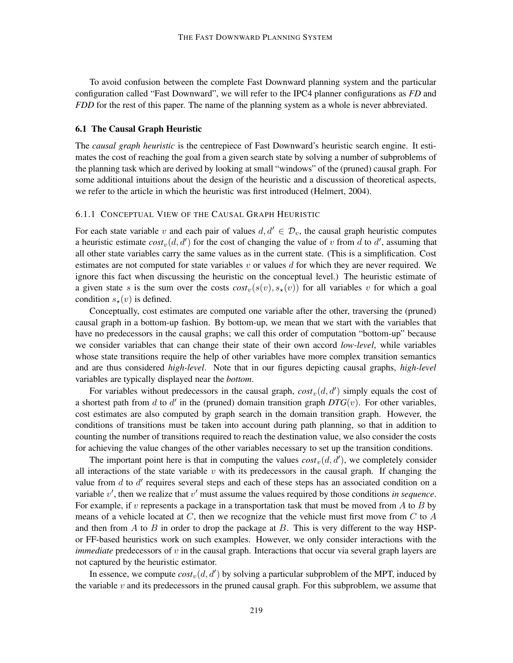To avoid confusion between the complete Fast Downward planning system and the particular configuration called "Fast Downward", we will refer to the IPC4 planner configurations as *FD* and *FDD* for the rest of this paper. The name of the planning system as a whole is never abbreviated.

# **6.1 The Causal Graph Heuristic**

The *causal graph heuristic* is the centrepiece of Fast Downward's heuristic search engine. It estimates the cost of reaching the goal from a given search state by solving a number of subproblems of the planning task which are derived by looking at small "windows" of the (pruned) causal graph. For some additional intuitions about the design of the heuristic and a discussion of theoretical aspects, we refer to the article in which the heuristic was first introduced (Helmert, 2004).

#### 6.1.1 CONCEPTUAL VIEW OF THE CAUSAL GRAPH HEURISTIC

For each state variable v and each pair of values  $d, d' \in \mathcal{D}_v$ , the causal graph heuristic computes a heuristic estimate  $cost_v(d, d')$  for the cost of changing the value of v from d to d', assuming that all other state variables carry the same values as in the current state. (This is a simplification. Cost estimates are not computed for state variables  $v$  or values  $d$  for which they are never required. We ignore this fact when discussing the heuristic on the conceptual level.) The heuristic estimate of a given state s is the sum over the costs  $cost_v(s(v), s_*(v))$  for all variables v for which a goal condition  $s_{\star}(v)$  is defined.

Conceptually, cost estimates are computed one variable after the other, traversing the (pruned) causal graph in a bottom-up fashion. By bottom-up, we mean that we start with the variables that have no predecessors in the causal graphs; we call this order of computation "bottom-up" because we consider variables that can change their state of their own accord *low-level*, while variables whose state transitions require the help of other variables have more complex transition semantics and are thus considered *high-level*. Note that in our figures depicting causal graphs, *high-level* variables are typically displayed near the *bottom*.

For variables without predecessors in the causal graph,  $cost_v(d, d')$  simply equals the cost of a shortest path from  $d$  to  $d'$  in the (pruned) domain transition graph  $DTG(v)$ . For other variables, cost estimates are also computed by graph search in the domain transition graph. However, the conditions of transitions must be taken into account during path planning, so that in addition to counting the number of transitions required to reach the destination value, we also consider the costs for achieving the value changes of the other variables necessary to set up the transition conditions.

The important point here is that in computing the values  $cost_v(d, d')$ , we completely consider all interactions of the state variable  $v$  with its predecessors in the causal graph. If changing the value from  $d$  to  $d'$  requires several steps and each of these steps has an associated condition on a variable  $v'$ , then we realize that  $v'$  must assume the values required by those conditions *in sequence*. For example, if v represents a package in a transportation task that must be moved from  $\ddot{A}$  to  $\ddot{B}$  by means of a vehicle located at  $C$ , then we recognize that the vehicle must first move from  $C$  to  $A$ and then from  $A$  to  $B$  in order to drop the package at  $B$ . This is very different to the way HSPor FF-based heuristics work on such examples. However, we only consider interactions with the *immediate* predecessors of v in the causal graph. Interactions that occur via several graph layers are not captured by the heuristic estimator.

In essence, we compute  $cost_v(d, d')$  by solving a particular subproblem of the MPT, induced by the variable  $v$  and its predecessors in the pruned causal graph. For this subproblem, we assume that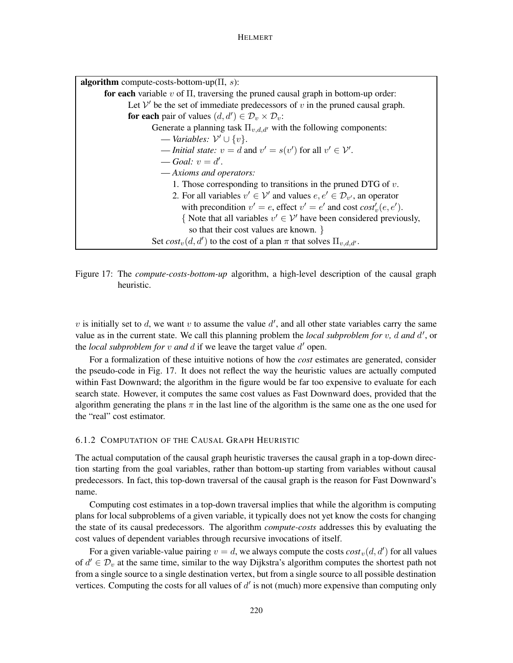| <b>algorithm</b> compute-costs-bottom-up( $\Pi$ , s):                                   |
|-----------------------------------------------------------------------------------------|
| for each variable $v$ of $\Pi$ , traversing the pruned causal graph in bottom-up order: |
| Let $V'$ be the set of immediate predecessors of v in the pruned causal graph.          |
| <b>for each</b> pair of values $(d, d') \in \mathcal{D}_v \times \mathcal{D}_v$ :       |
| Generate a planning task $\Pi_{v,d,d'}$ with the following components:                  |
| — Variables: $\mathcal{V}' \cup \{v\}$ .                                                |
| — Initial state: $v = d$ and $v' = s(v')$ for all $v' \in V'$ .                         |
| — Goal: $v = d'$ .                                                                      |
| - Axioms and operators:                                                                 |
| 1. Those corresponding to transitions in the pruned DTG of $v$ .                        |
| 2. For all variables $v' \in V'$ and values $e, e' \in \mathcal{D}_{v'}$ , an operator  |
| with precondition $v' = e$ , effect $v' = e'$ and cost $cost'_v(e, e')$ .               |
| { Note that all variables $v' \in V'$ have been considered previously,                  |
| so that their cost values are known. }                                                  |
| Set $cost_v(d, d')$ to the cost of a plan $\pi$ that solves $\Pi_{v,d,d'}$ .            |

Figure 17: The *compute-costs-bottom-up* algorithm, a high-level description of the causal graph heuristic.

v is initially set to d, we want v to assume the value  $d'$ , and all other state variables carry the same value as in the current state. We call this planning problem the *local subproblem for* v*,* d *and* d 0 , or the *local subproblem for*  $v$  *and*  $d$  if we leave the target value  $d'$  open.

For a formalization of these intuitive notions of how the *cost* estimates are generated, consider the pseudo-code in Fig. 17. It does not reflect the way the heuristic values are actually computed within Fast Downward; the algorithm in the figure would be far too expensive to evaluate for each search state. However, it computes the same cost values as Fast Downward does, provided that the algorithm generating the plans  $\pi$  in the last line of the algorithm is the same one as the one used for the "real" cost estimator.

# 6.1.2 COMPUTATION OF THE CAUSAL GRAPH HEURISTIC

The actual computation of the causal graph heuristic traverses the causal graph in a top-down direction starting from the goal variables, rather than bottom-up starting from variables without causal predecessors. In fact, this top-down traversal of the causal graph is the reason for Fast Downward's name.

Computing cost estimates in a top-down traversal implies that while the algorithm is computing plans for local subproblems of a given variable, it typically does not yet know the costs for changing the state of its causal predecessors. The algorithm *compute-costs* addresses this by evaluating the cost values of dependent variables through recursive invocations of itself.

For a given variable-value pairing  $v = d$ , we always compute the costs  $cost_v(d, d')$  for all values of  $d' \in \mathcal{D}_v$  at the same time, similar to the way Dijkstra's algorithm computes the shortest path not from a single source to a single destination vertex, but from a single source to all possible destination vertices. Computing the costs for all values of  $d'$  is not (much) more expensive than computing only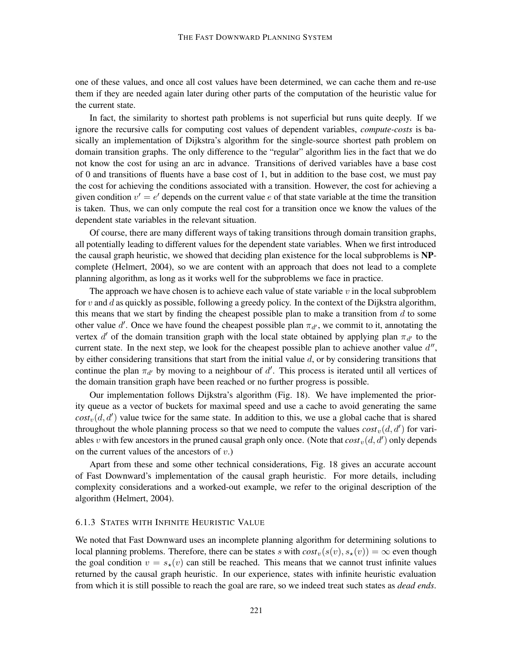one of these values, and once all cost values have been determined, we can cache them and re-use them if they are needed again later during other parts of the computation of the heuristic value for the current state.

In fact, the similarity to shortest path problems is not superficial but runs quite deeply. If we ignore the recursive calls for computing cost values of dependent variables, *compute-costs* is basically an implementation of Dijkstra's algorithm for the single-source shortest path problem on domain transition graphs. The only difference to the "regular" algorithm lies in the fact that we do not know the cost for using an arc in advance. Transitions of derived variables have a base cost of 0 and transitions of fluents have a base cost of 1, but in addition to the base cost, we must pay the cost for achieving the conditions associated with a transition. However, the cost for achieving a given condition  $v' = e'$  depends on the current value e of that state variable at the time the transition is taken. Thus, we can only compute the real cost for a transition once we know the values of the dependent state variables in the relevant situation.

Of course, there are many different ways of taking transitions through domain transition graphs, all potentially leading to different values for the dependent state variables. When we first introduced the causal graph heuristic, we showed that deciding plan existence for the local subproblems is **NP**complete (Helmert, 2004), so we are content with an approach that does not lead to a complete planning algorithm, as long as it works well for the subproblems we face in practice.

The approach we have chosen is to achieve each value of state variable  $v$  in the local subproblem for v and d as quickly as possible, following a greedy policy. In the context of the Dijkstra algorithm, this means that we start by finding the cheapest possible plan to make a transition from  $d$  to some other value d'. Once we have found the cheapest possible plan  $\pi_{d'}$ , we commit to it, annotating the vertex d' of the domain transition graph with the local state obtained by applying plan  $\pi_{d'}$  to the current state. In the next step, we look for the cheapest possible plan to achieve another value  $d''$ , by either considering transitions that start from the initial value  $d$ , or by considering transitions that continue the plan  $\pi_{d'}$  by moving to a neighbour of d'. This process is iterated until all vertices of the domain transition graph have been reached or no further progress is possible.

Our implementation follows Dijkstra's algorithm (Fig. 18). We have implemented the priority queue as a vector of buckets for maximal speed and use a cache to avoid generating the same  $cost_v(d, d')$  value twice for the same state. In addition to this, we use a global cache that is shared throughout the whole planning process so that we need to compute the values  $cost_v(d, d')$  for variables v with few ancestors in the pruned causal graph only once. (Note that  $cost_v(d, d')$  only depends on the current values of the ancestors of  $v$ .)

Apart from these and some other technical considerations, Fig. 18 gives an accurate account of Fast Downward's implementation of the causal graph heuristic. For more details, including complexity considerations and a worked-out example, we refer to the original description of the algorithm (Helmert, 2004).

## 6.1.3 STATES WITH INFINITE HEURISTIC VALUE

We noted that Fast Downward uses an incomplete planning algorithm for determining solutions to local planning problems. Therefore, there can be states s with  $cost_v(s(v), s_*(v)) = \infty$  even though the goal condition  $v = s<sub>*</sub>(v)$  can still be reached. This means that we cannot trust infinite values returned by the causal graph heuristic. In our experience, states with infinite heuristic evaluation from which it is still possible to reach the goal are rare, so we indeed treat such states as *dead ends*.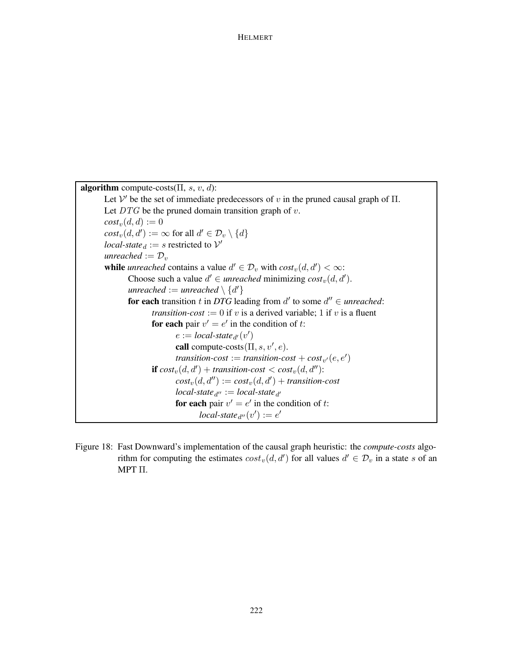**algorithm** compute-costs( $\Pi$ , s, v, d): Let  $V'$  be the set of immediate predecessors of v in the pruned causal graph of  $\Pi$ . Let  $DTG$  be the pruned domain transition graph of  $v$ .  $cost_v(d, d) := 0$  $cost_v(d, d') := \infty$  for all  $d' \in \mathcal{D}_v \setminus \{d\}$  $local-state_d := s$  restricted to  $V'$ *unreached* :=  $\mathcal{D}_v$ **while** *unreached* contains a value  $d' \in \mathcal{D}_v$  with  $cost_v(d, d') < \infty$ : Choose such a value  $d' \in$  *unreached* minimizing  $cost_v(d, d')$ .  $unreached := unreached \setminus \{d'\}$ **for each** transition t in DTG leading from  $d'$  to some  $d'' \in$  *unreached*: *transition-cost* := 0 if v is a derived variable; 1 if v is a fluent **for each** pair  $v' = e'$  in the condition of t:  $e := local-state_{d'}(v')$ **call** compute-costs  $(\Pi, s, v', e)$ .  $transition\text{-}cost := transition\text{-}cost + cost_{v'}(e, e')$ **if**  $cost_v(d, d')$  + *transition-cost* <  $cost_v(d, d'')$ :  $cost_v(d, d'') := cost_v(d, d') + transition-cost$  $local\text{-}state_{d^{\prime\prime}}:=local\text{-}state_{d^{\prime\prime}}$ **for each** pair  $v' = e'$  in the condition of t:  $local-state_{d''}(v') := e'$ 

Figure 18: Fast Downward's implementation of the causal graph heuristic: the *compute-costs* algorithm for computing the estimates  $cost_v(d, d')$  for all values  $d' \in \mathcal{D}_v$  in a state s of an MPT Π.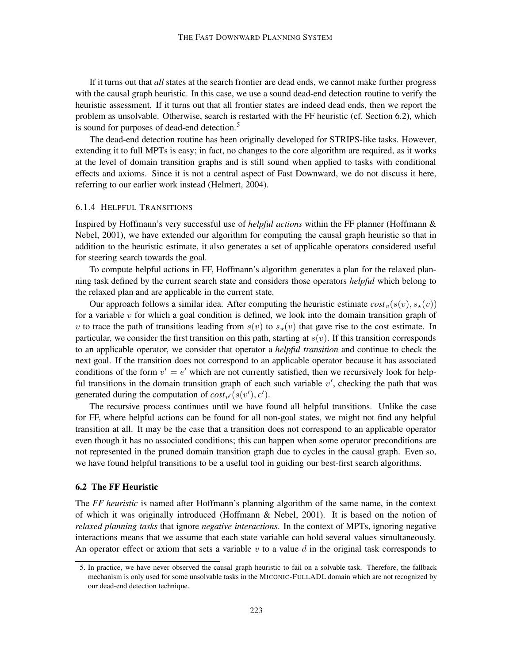If it turns out that *all* states at the search frontier are dead ends, we cannot make further progress with the causal graph heuristic. In this case, we use a sound dead-end detection routine to verify the heuristic assessment. If it turns out that all frontier states are indeed dead ends, then we report the problem as unsolvable. Otherwise, search is restarted with the FF heuristic (cf. Section 6.2), which is sound for purposes of dead-end detection.<sup>5</sup>

The dead-end detection routine has been originally developed for STRIPS-like tasks. However, extending it to full MPTs is easy; in fact, no changes to the core algorithm are required, as it works at the level of domain transition graphs and is still sound when applied to tasks with conditional effects and axioms. Since it is not a central aspect of Fast Downward, we do not discuss it here, referring to our earlier work instead (Helmert, 2004).

### 6.1.4 HELPFUL TRANSITIONS

Inspired by Hoffmann's very successful use of *helpful actions* within the FF planner (Hoffmann & Nebel, 2001), we have extended our algorithm for computing the causal graph heuristic so that in addition to the heuristic estimate, it also generates a set of applicable operators considered useful for steering search towards the goal.

To compute helpful actions in FF, Hoffmann's algorithm generates a plan for the relaxed planning task defined by the current search state and considers those operators *helpful* which belong to the relaxed plan and are applicable in the current state.

Our approach follows a similar idea. After computing the heuristic estimate  $cost_v(s(v), s_*(v))$ for a variable v for which a goal condition is defined, we look into the domain transition graph of v to trace the path of transitions leading from  $s(v)$  to  $s<sub>+</sub>(v)$  that gave rise to the cost estimate. In particular, we consider the first transition on this path, starting at  $s(v)$ . If this transition corresponds to an applicable operator, we consider that operator a *helpful transition* and continue to check the next goal. If the transition does not correspond to an applicable operator because it has associated conditions of the form  $v' = e'$  which are not currently satisfied, then we recursively look for helpful transitions in the domain transition graph of each such variable  $v'$ , checking the path that was generated during the computation of  $cost_{v'}(s(v'), e').$ 

The recursive process continues until we have found all helpful transitions. Unlike the case for FF, where helpful actions can be found for all non-goal states, we might not find any helpful transition at all. It may be the case that a transition does not correspond to an applicable operator even though it has no associated conditions; this can happen when some operator preconditions are not represented in the pruned domain transition graph due to cycles in the causal graph. Even so, we have found helpful transitions to be a useful tool in guiding our best-first search algorithms.

### **6.2 The FF Heuristic**

The *FF heuristic* is named after Hoffmann's planning algorithm of the same name, in the context of which it was originally introduced (Hoffmann & Nebel, 2001). It is based on the notion of *relaxed planning tasks* that ignore *negative interactions*. In the context of MPTs, ignoring negative interactions means that we assume that each state variable can hold several values simultaneously. An operator effect or axiom that sets a variable  $v$  to a value  $d$  in the original task corresponds to

<sup>5.</sup> In practice, we have never observed the causal graph heuristic to fail on a solvable task. Therefore, the fallback mechanism is only used for some unsolvable tasks in the MICONIC-FULLADL domain which are not recognized by our dead-end detection technique.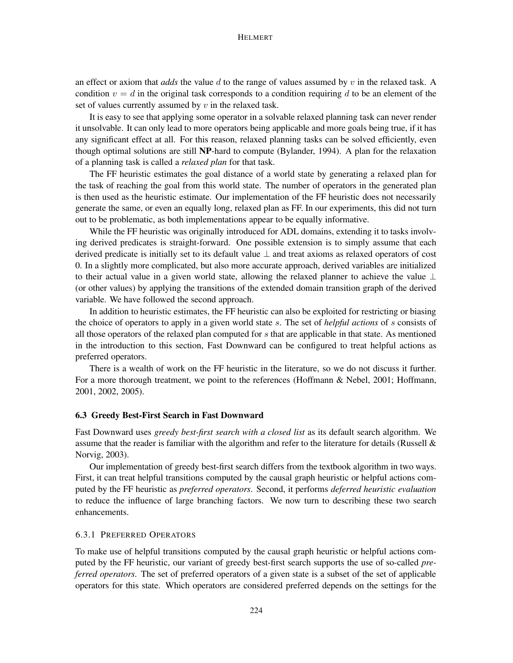an effect or axiom that *adds* the value d to the range of values assumed by  $v$  in the relaxed task. A condition  $v = d$  in the original task corresponds to a condition requiring d to be an element of the set of values currently assumed by  $v$  in the relaxed task.

It is easy to see that applying some operator in a solvable relaxed planning task can never render it unsolvable. It can only lead to more operators being applicable and more goals being true, if it has any significant effect at all. For this reason, relaxed planning tasks can be solved efficiently, even though optimal solutions are still **NP**-hard to compute (Bylander, 1994). A plan for the relaxation of a planning task is called a *relaxed plan* for that task.

The FF heuristic estimates the goal distance of a world state by generating a relaxed plan for the task of reaching the goal from this world state. The number of operators in the generated plan is then used as the heuristic estimate. Our implementation of the FF heuristic does not necessarily generate the same, or even an equally long, relaxed plan as FF. In our experiments, this did not turn out to be problematic, as both implementations appear to be equally informative.

While the FF heuristic was originally introduced for ADL domains, extending it to tasks involving derived predicates is straight-forward. One possible extension is to simply assume that each derived predicate is initially set to its default value ⊥ and treat axioms as relaxed operators of cost 0. In a slightly more complicated, but also more accurate approach, derived variables are initialized to their actual value in a given world state, allowing the relaxed planner to achieve the value  $\perp$ (or other values) by applying the transitions of the extended domain transition graph of the derived variable. We have followed the second approach.

In addition to heuristic estimates, the FF heuristic can also be exploited for restricting or biasing the choice of operators to apply in a given world state s. The set of *helpful actions* of s consists of all those operators of the relaxed plan computed for  $s$  that are applicable in that state. As mentioned in the introduction to this section, Fast Downward can be configured to treat helpful actions as preferred operators.

There is a wealth of work on the FF heuristic in the literature, so we do not discuss it further. For a more thorough treatment, we point to the references (Hoffmann & Nebel, 2001; Hoffmann, 2001, 2002, 2005).

#### **6.3 Greedy Best-First Search in Fast Downward**

Fast Downward uses *greedy best-first search with a closed list* as its default search algorithm. We assume that the reader is familiar with the algorithm and refer to the literature for details (Russell  $\&$ Norvig, 2003).

Our implementation of greedy best-first search differs from the textbook algorithm in two ways. First, it can treat helpful transitions computed by the causal graph heuristic or helpful actions computed by the FF heuristic as *preferred operators*. Second, it performs *deferred heuristic evaluation* to reduce the influence of large branching factors. We now turn to describing these two search enhancements.

#### 6.3.1 PREFERRED OPERATORS

To make use of helpful transitions computed by the causal graph heuristic or helpful actions computed by the FF heuristic, our variant of greedy best-first search supports the use of so-called *preferred operators*. The set of preferred operators of a given state is a subset of the set of applicable operators for this state. Which operators are considered preferred depends on the settings for the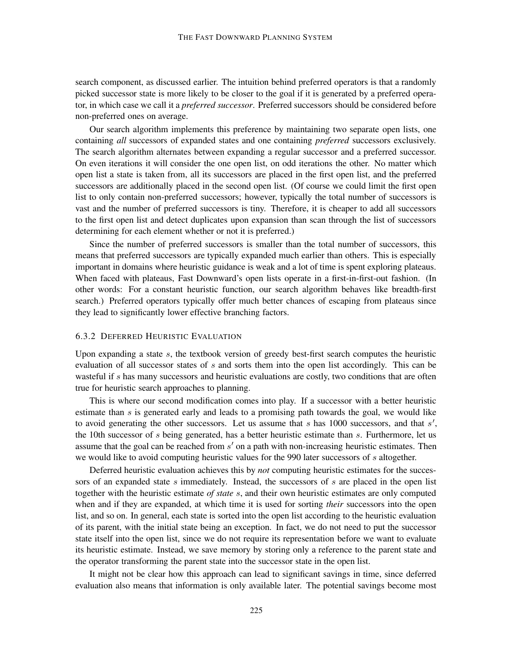search component, as discussed earlier. The intuition behind preferred operators is that a randomly picked successor state is more likely to be closer to the goal if it is generated by a preferred operator, in which case we call it a *preferred successor*. Preferred successors should be considered before non-preferred ones on average.

Our search algorithm implements this preference by maintaining two separate open lists, one containing *all* successors of expanded states and one containing *preferred* successors exclusively. The search algorithm alternates between expanding a regular successor and a preferred successor. On even iterations it will consider the one open list, on odd iterations the other. No matter which open list a state is taken from, all its successors are placed in the first open list, and the preferred successors are additionally placed in the second open list. (Of course we could limit the first open list to only contain non-preferred successors; however, typically the total number of successors is vast and the number of preferred successors is tiny. Therefore, it is cheaper to add all successors to the first open list and detect duplicates upon expansion than scan through the list of successors determining for each element whether or not it is preferred.)

Since the number of preferred successors is smaller than the total number of successors, this means that preferred successors are typically expanded much earlier than others. This is especially important in domains where heuristic guidance is weak and a lot of time is spent exploring plateaus. When faced with plateaus, Fast Downward's open lists operate in a first-in-first-out fashion. (In other words: For a constant heuristic function, our search algorithm behaves like breadth-first search.) Preferred operators typically offer much better chances of escaping from plateaus since they lead to significantly lower effective branching factors.

# 6.3.2 DEFERRED HEURISTIC EVALUATION

Upon expanding a state  $s$ , the textbook version of greedy best-first search computes the heuristic evaluation of all successor states of s and sorts them into the open list accordingly. This can be wasteful if s has many successors and heuristic evaluations are costly, two conditions that are often true for heuristic search approaches to planning.

This is where our second modification comes into play. If a successor with a better heuristic estimate than  $s$  is generated early and leads to a promising path towards the goal, we would like to avoid generating the other successors. Let us assume that  $s$  has 1000 successors, and that  $s'$ , the 10th successor of s being generated, has a better heuristic estimate than s. Furthermore, let us assume that the goal can be reached from  $s'$  on a path with non-increasing heuristic estimates. Then we would like to avoid computing heuristic values for the 990 later successors of s altogether.

Deferred heuristic evaluation achieves this by *not* computing heuristic estimates for the successors of an expanded state s immediately. Instead, the successors of s are placed in the open list together with the heuristic estimate *of state* s, and their own heuristic estimates are only computed when and if they are expanded, at which time it is used for sorting *their* successors into the open list, and so on. In general, each state is sorted into the open list according to the heuristic evaluation of its parent, with the initial state being an exception. In fact, we do not need to put the successor state itself into the open list, since we do not require its representation before we want to evaluate its heuristic estimate. Instead, we save memory by storing only a reference to the parent state and the operator transforming the parent state into the successor state in the open list.

It might not be clear how this approach can lead to significant savings in time, since deferred evaluation also means that information is only available later. The potential savings become most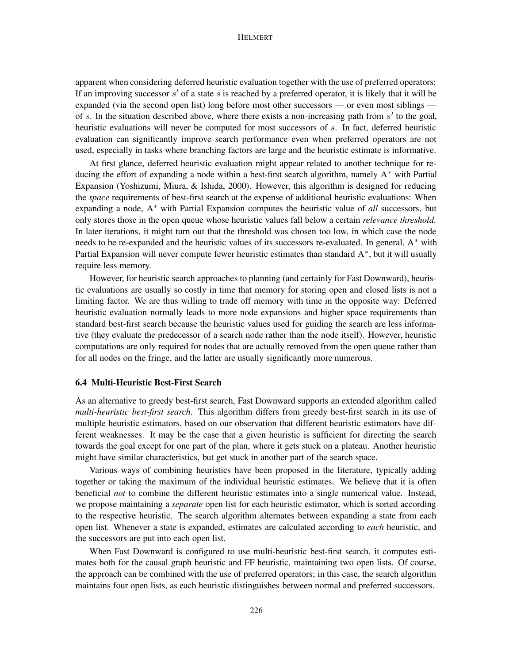apparent when considering deferred heuristic evaluation together with the use of preferred operators: If an improving successor  $s'$  of a state  $s$  is reached by a preferred operator, it is likely that it will be expanded (via the second open list) long before most other successors — or even most siblings of s. In the situation described above, where there exists a non-increasing path from  $s'$  to the goal, heuristic evaluations will never be computed for most successors of s. In fact, deferred heuristic evaluation can significantly improve search performance even when preferred operators are not used, especially in tasks where branching factors are large and the heuristic estimate is informative.

At first glance, deferred heuristic evaluation might appear related to another technique for reducing the effort of expanding a node within a best-first search algorithm, namely A<sup>∗</sup> with Partial Expansion (Yoshizumi, Miura, & Ishida, 2000). However, this algorithm is designed for reducing the *space* requirements of best-first search at the expense of additional heuristic evaluations: When expanding a node, A<sup>\*</sup> with Partial Expansion computes the heuristic value of *all* successors, but only stores those in the open queue whose heuristic values fall below a certain *relevance threshold*. In later iterations, it might turn out that the threshold was chosen too low, in which case the node needs to be re-expanded and the heuristic values of its successors re-evaluated. In general, A<sup>\*</sup> with Partial Expansion will never compute fewer heuristic estimates than standard A<sup>\*</sup>, but it will usually require less memory.

However, for heuristic search approaches to planning (and certainly for Fast Downward), heuristic evaluations are usually so costly in time that memory for storing open and closed lists is not a limiting factor. We are thus willing to trade off memory with time in the opposite way: Deferred heuristic evaluation normally leads to more node expansions and higher space requirements than standard best-first search because the heuristic values used for guiding the search are less informative (they evaluate the predecessor of a search node rather than the node itself). However, heuristic computations are only required for nodes that are actually removed from the open queue rather than for all nodes on the fringe, and the latter are usually significantly more numerous.

### **6.4 Multi-Heuristic Best-First Search**

As an alternative to greedy best-first search, Fast Downward supports an extended algorithm called *multi-heuristic best-first search*. This algorithm differs from greedy best-first search in its use of multiple heuristic estimators, based on our observation that different heuristic estimators have different weaknesses. It may be the case that a given heuristic is sufficient for directing the search towards the goal except for one part of the plan, where it gets stuck on a plateau. Another heuristic might have similar characteristics, but get stuck in another part of the search space.

Various ways of combining heuristics have been proposed in the literature, typically adding together or taking the maximum of the individual heuristic estimates. We believe that it is often beneficial *not* to combine the different heuristic estimates into a single numerical value. Instead, we propose maintaining a *separate* open list for each heuristic estimator, which is sorted according to the respective heuristic. The search algorithm alternates between expanding a state from each open list. Whenever a state is expanded, estimates are calculated according to *each* heuristic, and the successors are put into each open list.

When Fast Downward is configured to use multi-heuristic best-first search, it computes estimates both for the causal graph heuristic and FF heuristic, maintaining two open lists. Of course, the approach can be combined with the use of preferred operators; in this case, the search algorithm maintains four open lists, as each heuristic distinguishes between normal and preferred successors.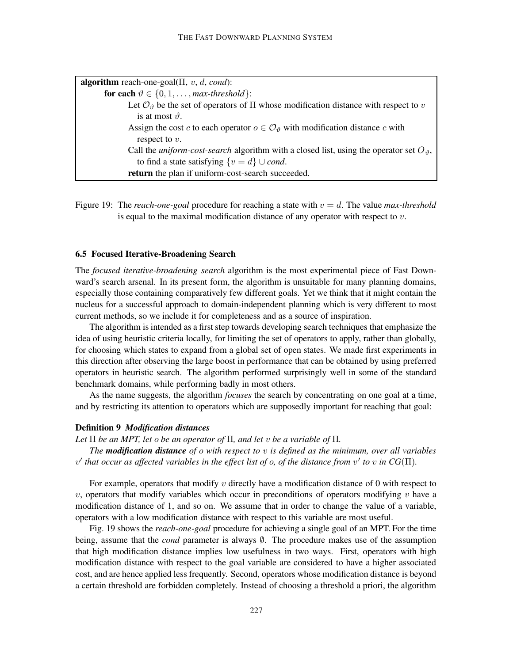| <b>algorithm</b> reach-one-goal( $\Pi$ , v, d, cond):                                                        |
|--------------------------------------------------------------------------------------------------------------|
| for each $\vartheta \in \{0, 1, \ldots, \text{max-threshold}\}$ :                                            |
| Let $\mathcal{O}_{\vartheta}$ be the set of operators of $\Pi$ whose modification distance with respect to v |
| is at most $\vartheta$ .                                                                                     |
| Assign the cost c to each operator $o \in \mathcal{O}_{\vartheta}$ with modification distance c with         |
| respect to $v$ .                                                                                             |
| Call the <i>uniform-cost-search</i> algorithm with a closed list, using the operator set $O_{\vartheta}$ ,   |
| to find a state satisfying $\{v=d\} \cup cond.$                                                              |
| return the plan if uniform-cost-search succeeded.                                                            |

Figure 19: The *reach-one-goal* procedure for reaching a state with  $v = d$ . The value *max-threshold* is equal to the maximal modification distance of any operator with respect to  $v$ .

### **6.5 Focused Iterative-Broadening Search**

The *focused iterative-broadening search* algorithm is the most experimental piece of Fast Downward's search arsenal. In its present form, the algorithm is unsuitable for many planning domains, especially those containing comparatively few different goals. Yet we think that it might contain the nucleus for a successful approach to domain-independent planning which is very different to most current methods, so we include it for completeness and as a source of inspiration.

The algorithm is intended as a first step towards developing search techniques that emphasize the idea of using heuristic criteria locally, for limiting the set of operators to apply, rather than globally, for choosing which states to expand from a global set of open states. We made first experiments in this direction after observing the large boost in performance that can be obtained by using preferred operators in heuristic search. The algorithm performed surprisingly well in some of the standard benchmark domains, while performing badly in most others.

As the name suggests, the algorithm *focuses* the search by concentrating on one goal at a time, and by restricting its attention to operators which are supposedly important for reaching that goal:

## **Definition 9** *Modification distances*

*Let*  $\Pi$  *be an MPT*, *let o be an operator of*  $\Pi$ *, and let v be a variable of*  $\Pi$ *.* 

*The modification distance of* o *with respect to* v *is defined as the minimum, over all variables*  $v'$  that occur as affected variables in the effect list of 0, of the distance from  $v'$  to v in  $CG(\Pi)$ .

For example, operators that modify  $v$  directly have a modification distance of 0 with respect to  $v$ , operators that modify variables which occur in preconditions of operators modifying  $v$  have a modification distance of 1, and so on. We assume that in order to change the value of a variable, operators with a low modification distance with respect to this variable are most useful.

Fig. 19 shows the *reach-one-goal* procedure for achieving a single goal of an MPT. For the time being, assume that the *cond* parameter is always ∅. The procedure makes use of the assumption that high modification distance implies low usefulness in two ways. First, operators with high modification distance with respect to the goal variable are considered to have a higher associated cost, and are hence applied less frequently. Second, operators whose modification distance is beyond a certain threshold are forbidden completely. Instead of choosing a threshold a priori, the algorithm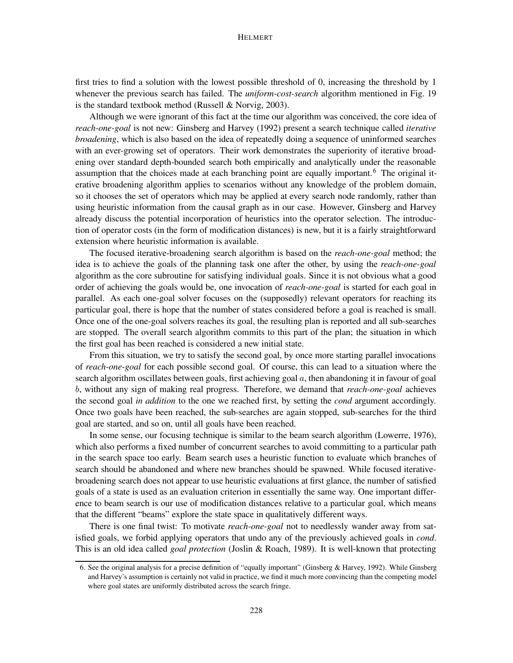first tries to find a solution with the lowest possible threshold of 0, increasing the threshold by 1 whenever the previous search has failed. The *uniform-cost-search* algorithm mentioned in Fig. 19 is the standard textbook method (Russell & Norvig, 2003).

Although we were ignorant of this fact at the time our algorithm was conceived, the core idea of *reach-one-goal* is not new: Ginsberg and Harvey (1992) present a search technique called *iterative broadening*, which is also based on the idea of repeatedly doing a sequence of uninformed searches with an ever-growing set of operators. Their work demonstrates the superiority of iterative broadening over standard depth-bounded search both empirically and analytically under the reasonable assumption that the choices made at each branching point are equally important.<sup>6</sup> The original iterative broadening algorithm applies to scenarios without any knowledge of the problem domain, so it chooses the set of operators which may be applied at every search node randomly, rather than using heuristic information from the causal graph as in our case. However, Ginsberg and Harvey already discuss the potential incorporation of heuristics into the operator selection. The introduction of operator costs (in the form of modification distances) is new, but it is a fairly straightforward extension where heuristic information is available.

The focused iterative-broadening search algorithm is based on the *reach-one-goal* method; the idea is to achieve the goals of the planning task one after the other, by using the *reach-one-goal* algorithm as the core subroutine for satisfying individual goals. Since it is not obvious what a good order of achieving the goals would be, one invocation of *reach-one-goal* is started for each goal in parallel. As each one-goal solver focuses on the (supposedly) relevant operators for reaching its particular goal, there is hope that the number of states considered before a goal is reached is small. Once one of the one-goal solvers reaches its goal, the resulting plan is reported and all sub-searches are stopped. The overall search algorithm commits to this part of the plan; the situation in which the first goal has been reached is considered a new initial state.

From this situation, we try to satisfy the second goal, by once more starting parallel invocations of *reach-one-goal* for each possible second goal. Of course, this can lead to a situation where the search algorithm oscillates between goals, first achieving goal  $a$ , then abandoning it in favour of goal b, without any sign of making real progress. Therefore, we demand that *reach-one-goal* achieves the second goal *in addition* to the one we reached first, by setting the *cond* argument accordingly. Once two goals have been reached, the sub-searches are again stopped, sub-searches for the third goal are started, and so on, until all goals have been reached.

In some sense, our focusing technique is similar to the beam search algorithm (Lowerre, 1976), which also performs a fixed number of concurrent searches to avoid committing to a particular path in the search space too early. Beam search uses a heuristic function to evaluate which branches of search should be abandoned and where new branches should be spawned. While focused iterativebroadening search does not appear to use heuristic evaluations at first glance, the number of satisfied goals of a state is used as an evaluation criterion in essentially the same way. One important difference to beam search is our use of modification distances relative to a particular goal, which means that the different "beams" explore the state space in qualitatively different ways.

There is one final twist: To motivate *reach-one-goal* not to needlessly wander away from satisfied goals, we forbid applying operators that undo any of the previously achieved goals in *cond*. This is an old idea called *goal protection* (Joslin & Roach, 1989). It is well-known that protecting

<sup>6.</sup> See the original analysis for a precise definition of "equally important" (Ginsberg & Harvey, 1992). While Ginsberg and Harvey's assumption is certainly not valid in practice, we find it much more convincing than the competing model where goal states are uniformly distributed across the search fringe.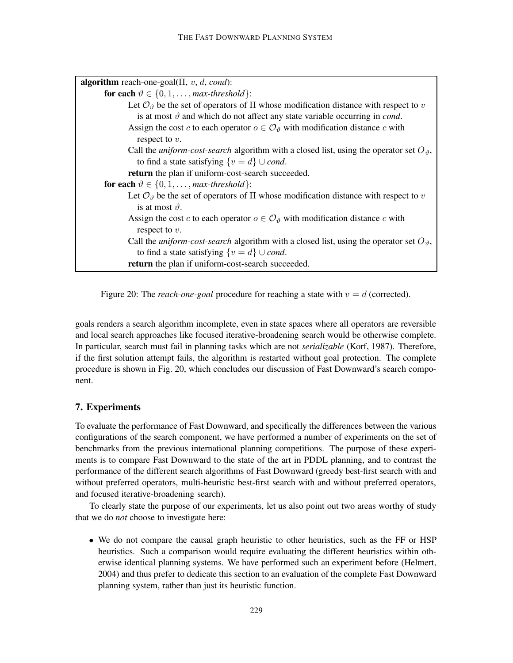| <b>algorithm</b> reach-one-goal( $\Pi$ , v, d, cond):                                                                                                         |
|---------------------------------------------------------------------------------------------------------------------------------------------------------------|
| for each $\vartheta \in \{0, 1, \ldots, \text{max-threshold}\}$ :                                                                                             |
| Let $\mathcal{O}_{\vartheta}$ be the set of operators of $\Pi$ whose modification distance with respect to v                                                  |
| is at most $\vartheta$ and which do not affect any state variable occurring in <i>cond</i> .                                                                  |
| Assign the cost c to each operator $o \in \mathcal{O}_{\vartheta}$ with modification distance c with<br>respect to $v$ .                                      |
| Call the <i>uniform-cost-search</i> algorithm with a closed list, using the operator set $O_{\vartheta}$ ,                                                    |
| to find a state satisfying $\{v = d\} \cup cond.$                                                                                                             |
| return the plan if uniform-cost-search succeeded.                                                                                                             |
| for each $\vartheta \in \{0, 1, \ldots, \text{max-threshold}\}$ :                                                                                             |
| Let $\mathcal{O}_{\theta}$ be the set of operators of $\Pi$ whose modification distance with respect to v<br>is at most $\vartheta$ .                         |
| Assign the cost c to each operator $o \in \mathcal{O}_{\vartheta}$ with modification distance c with<br>respect to $v$ .                                      |
| Call the <i>uniform-cost-search</i> algorithm with a closed list, using the operator set $O_{\vartheta}$ ,<br>to find a state satisfying $\{v=d\} \cup cond.$ |
| return the plan if uniform-cost-search succeeded.                                                                                                             |

Figure 20: The *reach-one-goal* procedure for reaching a state with  $v = d$  (corrected).

goals renders a search algorithm incomplete, even in state spaces where all operators are reversible and local search approaches like focused iterative-broadening search would be otherwise complete. In particular, search must fail in planning tasks which are not *serializable* (Korf, 1987). Therefore, if the first solution attempt fails, the algorithm is restarted without goal protection. The complete procedure is shown in Fig. 20, which concludes our discussion of Fast Downward's search component.

# **7. Experiments**

To evaluate the performance of Fast Downward, and specifically the differences between the various configurations of the search component, we have performed a number of experiments on the set of benchmarks from the previous international planning competitions. The purpose of these experiments is to compare Fast Downward to the state of the art in PDDL planning, and to contrast the performance of the different search algorithms of Fast Downward (greedy best-first search with and without preferred operators, multi-heuristic best-first search with and without preferred operators, and focused iterative-broadening search).

To clearly state the purpose of our experiments, let us also point out two areas worthy of study that we do *not* choose to investigate here:

• We do not compare the causal graph heuristic to other heuristics, such as the FF or HSP heuristics. Such a comparison would require evaluating the different heuristics within otherwise identical planning systems. We have performed such an experiment before (Helmert, 2004) and thus prefer to dedicate this section to an evaluation of the complete Fast Downward planning system, rather than just its heuristic function.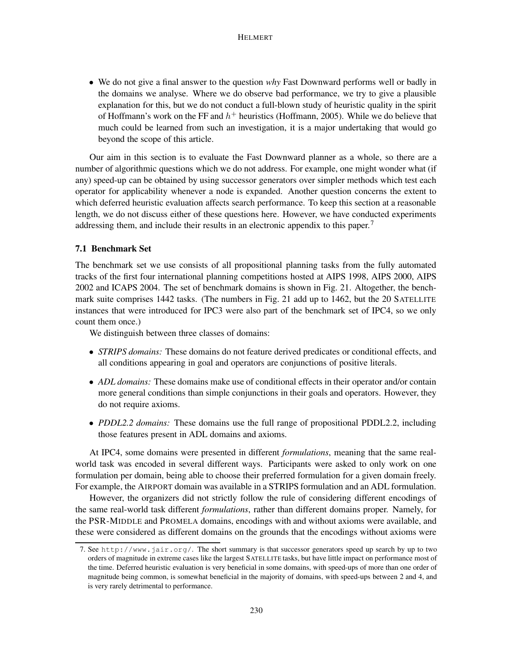• We do not give a final answer to the question *why* Fast Downward performs well or badly in the domains we analyse. Where we do observe bad performance, we try to give a plausible explanation for this, but we do not conduct a full-blown study of heuristic quality in the spirit of Hoffmann's work on the FF and  $h^+$  heuristics (Hoffmann, 2005). While we do believe that much could be learned from such an investigation, it is a major undertaking that would go beyond the scope of this article.

Our aim in this section is to evaluate the Fast Downward planner as a whole, so there are a number of algorithmic questions which we do not address. For example, one might wonder what (if any) speed-up can be obtained by using successor generators over simpler methods which test each operator for applicability whenever a node is expanded. Another question concerns the extent to which deferred heuristic evaluation affects search performance. To keep this section at a reasonable length, we do not discuss either of these questions here. However, we have conducted experiments addressing them, and include their results in an electronic appendix to this paper.<sup>7</sup>

# **7.1 Benchmark Set**

The benchmark set we use consists of all propositional planning tasks from the fully automated tracks of the first four international planning competitions hosted at AIPS 1998, AIPS 2000, AIPS 2002 and ICAPS 2004. The set of benchmark domains is shown in Fig. 21. Altogether, the benchmark suite comprises 1442 tasks. (The numbers in Fig. 21 add up to 1462, but the 20 SATELLITE instances that were introduced for IPC3 were also part of the benchmark set of IPC4, so we only count them once.)

We distinguish between three classes of domains:

- *STRIPS domains:* These domains do not feature derived predicates or conditional effects, and all conditions appearing in goal and operators are conjunctions of positive literals.
- *ADL domains:* These domains make use of conditional effects in their operator and/or contain more general conditions than simple conjunctions in their goals and operators. However, they do not require axioms.
- *PDDL2.2 domains:* These domains use the full range of propositional PDDL2.2, including those features present in ADL domains and axioms.

At IPC4, some domains were presented in different *formulations*, meaning that the same realworld task was encoded in several different ways. Participants were asked to only work on one formulation per domain, being able to choose their preferred formulation for a given domain freely. For example, the AIRPORT domain was available in a STRIPS formulation and an ADL formulation.

However, the organizers did not strictly follow the rule of considering different encodings of the same real-world task different *formulations*, rather than different domains proper. Namely, for the PSR-MIDDLE and PROMELA domains, encodings with and without axioms were available, and these were considered as different domains on the grounds that the encodings without axioms were

<sup>7.</sup> See http://www.jair.org/. The short summary is that successor generators speed up search by up to two orders of magnitude in extreme cases like the largest SATELLITE tasks, but have little impact on performance most of the time. Deferred heuristic evaluation is very beneficial in some domains, with speed-ups of more than one order of magnitude being common, is somewhat beneficial in the majority of domains, with speed-ups between 2 and 4, and is very rarely detrimental to performance.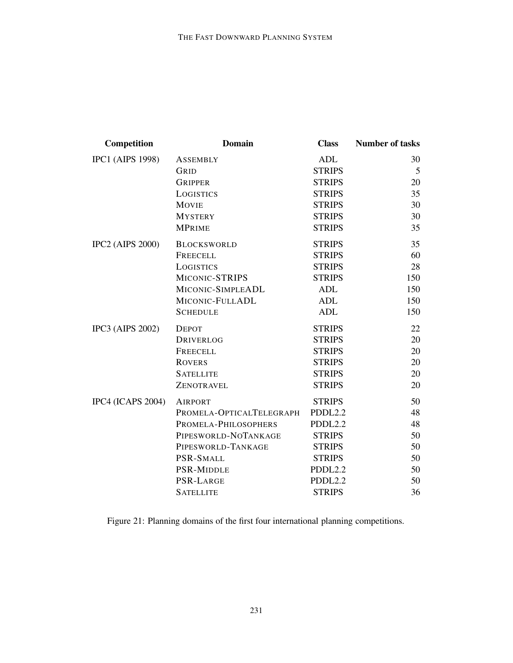| <b>Competition</b>       | <b>Domain</b>            | <b>Class</b>  | <b>Number of tasks</b> |
|--------------------------|--------------------------|---------------|------------------------|
| <b>IPC1 (AIPS 1998)</b>  | <b>ASSEMBLY</b>          | ADL           | 30                     |
|                          | GRID                     | <b>STRIPS</b> | 5                      |
|                          | <b>GRIPPER</b>           | <b>STRIPS</b> | 20                     |
|                          | LOGISTICS                | <b>STRIPS</b> | 35                     |
|                          | <b>MOVIE</b>             | <b>STRIPS</b> | 30                     |
|                          | <b>MYSTERY</b>           | <b>STRIPS</b> | 30                     |
|                          | <b>MPRIME</b>            | <b>STRIPS</b> | 35                     |
| <b>IPC2 (AIPS 2000)</b>  | <b>BLOCKSWORLD</b>       | <b>STRIPS</b> | 35                     |
|                          | FREECELL                 | <b>STRIPS</b> | 60                     |
|                          | LOGISTICS                | <b>STRIPS</b> | 28                     |
|                          | MICONIC-STRIPS           | <b>STRIPS</b> | 150                    |
|                          | MICONIC-SIMPLEADL        | ADL           | 150                    |
|                          | MICONIC-FULLADL          | ADL           | 150                    |
|                          | <b>SCHEDULE</b>          | ADL           | 150                    |
| <b>IPC3</b> (AIPS 2002)  | <b>DEPOT</b>             | <b>STRIPS</b> | 22                     |
|                          | <b>DRIVERLOG</b>         | <b>STRIPS</b> | 20                     |
|                          | FREECELL                 | <b>STRIPS</b> | 20                     |
|                          | <b>ROVERS</b>            | <b>STRIPS</b> | 20                     |
|                          | <b>SATELLITE</b>         | <b>STRIPS</b> | 20                     |
|                          | ZENOTRAVEL               | <b>STRIPS</b> | 20                     |
| <b>IPC4 (ICAPS 2004)</b> | <b>AIRPORT</b>           | <b>STRIPS</b> | 50                     |
|                          | PROMELA-OPTICALTELEGRAPH | PDDL2.2       | 48                     |
|                          | PROMELA-PHILOSOPHERS     | PDDL2.2       | 48                     |
|                          | PIPESWORLD-NOTANKAGE     | <b>STRIPS</b> | 50                     |
|                          | PIPESWORLD-TANKAGE       | <b>STRIPS</b> | 50                     |
|                          | PSR-SMALL                | <b>STRIPS</b> | 50                     |
|                          | PSR-MIDDLE               | PDDL2.2       | 50                     |
|                          | PSR-LARGE                | PDDL2.2       | 50                     |
|                          | <b>SATELLITE</b>         | <b>STRIPS</b> | 36                     |

Figure 21: Planning domains of the first four international planning competitions.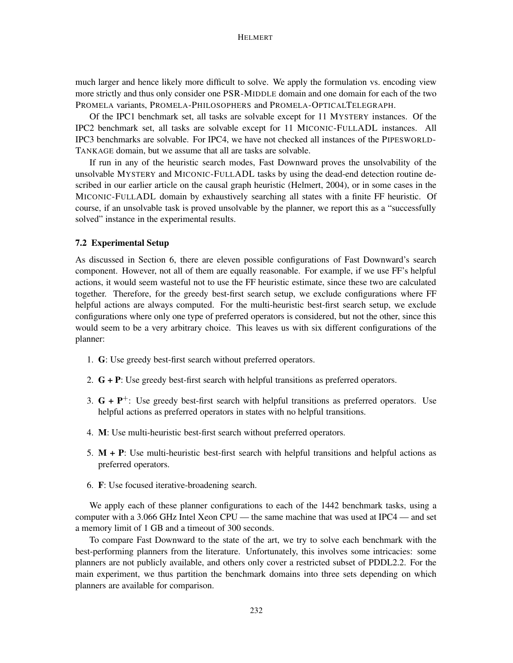much larger and hence likely more difficult to solve. We apply the formulation vs. encoding view more strictly and thus only consider one PSR-MIDDLE domain and one domain for each of the two PROMELA variants, PROMELA-PHILOSOPHERS and PROMELA-OPTICALTELEGRAPH.

Of the IPC1 benchmark set, all tasks are solvable except for 11 MYSTERY instances. Of the IPC2 benchmark set, all tasks are solvable except for 11 MICONIC-FULLADL instances. All IPC3 benchmarks are solvable. For IPC4, we have not checked all instances of the PIPESWORLD-TANKAGE domain, but we assume that all are tasks are solvable.

If run in any of the heuristic search modes, Fast Downward proves the unsolvability of the unsolvable MYSTERY and MICONIC-FULLADL tasks by using the dead-end detection routine described in our earlier article on the causal graph heuristic (Helmert, 2004), or in some cases in the MICONIC-FULLADL domain by exhaustively searching all states with a finite FF heuristic. Of course, if an unsolvable task is proved unsolvable by the planner, we report this as a "successfully solved" instance in the experimental results.

### **7.2 Experimental Setup**

As discussed in Section 6, there are eleven possible configurations of Fast Downward's search component. However, not all of them are equally reasonable. For example, if we use FF's helpful actions, it would seem wasteful not to use the FF heuristic estimate, since these two are calculated together. Therefore, for the greedy best-first search setup, we exclude configurations where FF helpful actions are always computed. For the multi-heuristic best-first search setup, we exclude configurations where only one type of preferred operators is considered, but not the other, since this would seem to be a very arbitrary choice. This leaves us with six different configurations of the planner:

- 1. **G**: Use greedy best-first search without preferred operators.
- 2. **G + P**: Use greedy best-first search with helpful transitions as preferred operators.
- 3.  $G + P^+$ : Use greedy best-first search with helpful transitions as preferred operators. Use helpful actions as preferred operators in states with no helpful transitions.
- 4. **M**: Use multi-heuristic best-first search without preferred operators.
- 5. **M + P**: Use multi-heuristic best-first search with helpful transitions and helpful actions as preferred operators.
- 6. **F**: Use focused iterative-broadening search.

We apply each of these planner configurations to each of the 1442 benchmark tasks, using a computer with a 3.066 GHz Intel Xeon CPU — the same machine that was used at IPC4 — and set a memory limit of 1 GB and a timeout of 300 seconds.

To compare Fast Downward to the state of the art, we try to solve each benchmark with the best-performing planners from the literature. Unfortunately, this involves some intricacies: some planners are not publicly available, and others only cover a restricted subset of PDDL2.2. For the main experiment, we thus partition the benchmark domains into three sets depending on which planners are available for comparison.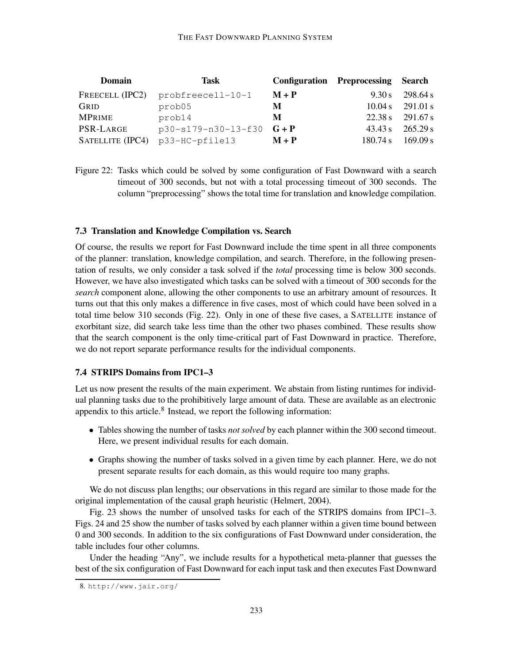| Domain           | Task                        |         | <b>Configuration Preprocessing Search</b> |          |
|------------------|-----------------------------|---------|-------------------------------------------|----------|
| FREECELL (IPC2)  | probfreecell-10-1           | $M + P$ | 9.30 s                                    | 298.64 s |
| GRID             | prob05                      | M       | 10.04 s                                   | 291.01 s |
| <b>MPRIME</b>    | prob14                      | М       | 22.38 s                                   | 291.67 s |
| PSR-LARGE        | $p30-s179-n30-13-f30$ $G+P$ |         | 43.43 s                                   | 265.29 s |
| SATELLITE (IPC4) | p33-HC-pfile13              | $M + P$ | 180.74 s                                  | 169.09 s |

Figure 22: Tasks which could be solved by some configuration of Fast Downward with a search timeout of 300 seconds, but not with a total processing timeout of 300 seconds. The column "preprocessing" shows the total time for translation and knowledge compilation.

## **7.3 Translation and Knowledge Compilation vs. Search**

Of course, the results we report for Fast Downward include the time spent in all three components of the planner: translation, knowledge compilation, and search. Therefore, in the following presentation of results, we only consider a task solved if the *total* processing time is below 300 seconds. However, we have also investigated which tasks can be solved with a timeout of 300 seconds for the *search* component alone, allowing the other components to use an arbitrary amount of resources. It turns out that this only makes a difference in five cases, most of which could have been solved in a total time below 310 seconds (Fig. 22). Only in one of these five cases, a SATELLITE instance of exorbitant size, did search take less time than the other two phases combined. These results show that the search component is the only time-critical part of Fast Downward in practice. Therefore, we do not report separate performance results for the individual components.

# **7.4 STRIPS Domains from IPC1–3**

Let us now present the results of the main experiment. We abstain from listing runtimes for individual planning tasks due to the prohibitively large amount of data. These are available as an electronic appendix to this article. $8$  Instead, we report the following information:

- Tables showing the number of tasks *not solved* by each planner within the 300 second timeout. Here, we present individual results for each domain.
- Graphs showing the number of tasks solved in a given time by each planner. Here, we do not present separate results for each domain, as this would require too many graphs.

We do not discuss plan lengths; our observations in this regard are similar to those made for the original implementation of the causal graph heuristic (Helmert, 2004).

Fig. 23 shows the number of unsolved tasks for each of the STRIPS domains from IPC1–3. Figs. 24 and 25 show the number of tasks solved by each planner within a given time bound between 0 and 300 seconds. In addition to the six configurations of Fast Downward under consideration, the table includes four other columns.

Under the heading "Any", we include results for a hypothetical meta-planner that guesses the best of the six configuration of Fast Downward for each input task and then executes Fast Downward

<sup>8.</sup> http://www.jair.org/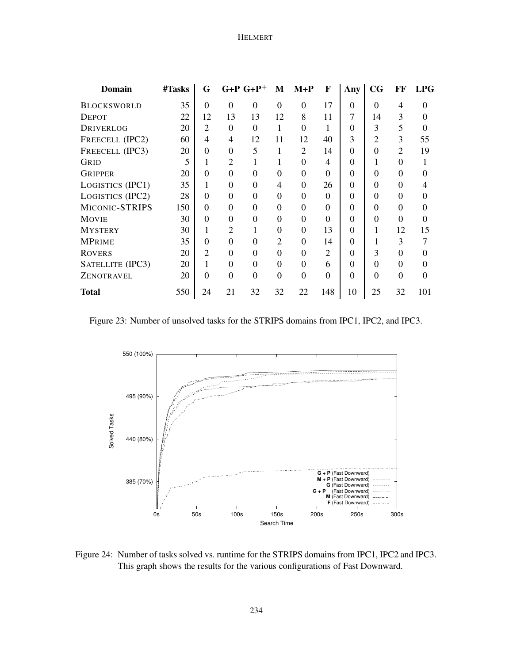| <b>Domain</b>      | #Tasks                   | G        |                | $G+P$ $G+P^+$ | M              | $M+P$    | F              | Any      | $_{\rm CG}$    | FF             | <b>LPG</b> |
|--------------------|--------------------------|----------|----------------|---------------|----------------|----------|----------------|----------|----------------|----------------|------------|
| <b>BLOCKSWORLD</b> | 35                       | $\theta$ | $\Omega$       | $\Omega$      | $\theta$       | $\theta$ | 17             | $\Omega$ | $\Omega$       | 4              | 0          |
| <b>DEPOT</b>       | 22                       | 12       | 13             | 13            | 12             | 8        | 11             | 7        | 14             | 3              | 0          |
| DRIVERLOG          | 20                       | 2        | $\Omega$       | $\Omega$      | 1              | $\Omega$ | 1              | $\Omega$ | 3              | 5              | 0          |
| FREECELL (IPC2)    | 60                       | 4        | 4              | 12            | 11             | 12       | 40             | 3        | $\overline{2}$ | 3              | 55         |
| FREECELL (IPC3)    | 20                       | $\theta$ | $\Omega$       | 5             | 1              | 2        | 14             | $\Omega$ | $\Omega$       | $\overline{2}$ | 19         |
| GRID               | $\overline{\mathcal{L}}$ |          | $\overline{2}$ |               |                | $\Omega$ | $\overline{4}$ | $\Omega$ |                | $\Omega$       |            |
| <b>GRIPPER</b>     | 20                       | $\theta$ | $\Omega$       | $\Omega$      | 0              | $\Omega$ | $\Omega$       | $\theta$ | $\theta$       | $\Omega$       | 0          |
| LOGISTICS (IPC1)   | 35                       | 1        | 0              | $\Omega$      | 4              | $\Omega$ | 26             | $\Omega$ | 0              | $\Omega$       | 4          |
| LOGISTICS (IPC2)   | 28                       | $\theta$ | 0              | $\theta$      | 0              | $\theta$ | $\Omega$       | $\Omega$ | 0              | 0              |            |
| MICONIC-STRIPS     | 150                      | $\Omega$ | 0              | $\Omega$      | 0              | $\theta$ | $\Omega$       | $\Omega$ | $\Omega$       | $\theta$       |            |
| <b>MOVIE</b>       | 30                       | $\theta$ | 0              | $\theta$      | 0              | $\Omega$ | $\Omega$       | $\Omega$ | 0              | $\theta$       |            |
| <b>MYSTERY</b>     | 30                       | 1        | $\overline{2}$ |               | 0              | $\theta$ | 13             | $\Omega$ | 1              | 12             | 15         |
| <b>MPRIME</b>      | 35                       | $\theta$ | $\Omega$       | $\theta$      | $\overline{c}$ | $\Omega$ | 14             | $\Omega$ | 1              | 3              |            |
| <b>ROVERS</b>      | 20                       | 2        | $\Omega$       | $\theta$      | $\Omega$       | $\theta$ | $\overline{2}$ | $\Omega$ | 3              | $\overline{0}$ | 0          |
| SATELLITE (IPC3)   | 20                       | 1        | $\Omega$       | $\theta$      | $\theta$       | $\Omega$ | 6              | $\Omega$ | $\Omega$       | $\theta$       | 0          |
| <b>ZENOTRAVEL</b>  | 20                       | $\theta$ | $\Omega$       | $\Omega$      | $\theta$       | $\theta$ | $\Omega$       | $\Omega$ | $\Omega$       | $\theta$       |            |
| <b>Total</b>       | 550                      | 24       | 21             | 32            | 32             | 22       | 148            | 10       | 25             | 32             | 101        |

Figure 23: Number of unsolved tasks for the STRIPS domains from IPC1, IPC2, and IPC3.



Figure 24: Number of tasks solved vs. runtime for the STRIPS domains from IPC1, IPC2 and IPC3. This graph shows the results for the various configurations of Fast Downward.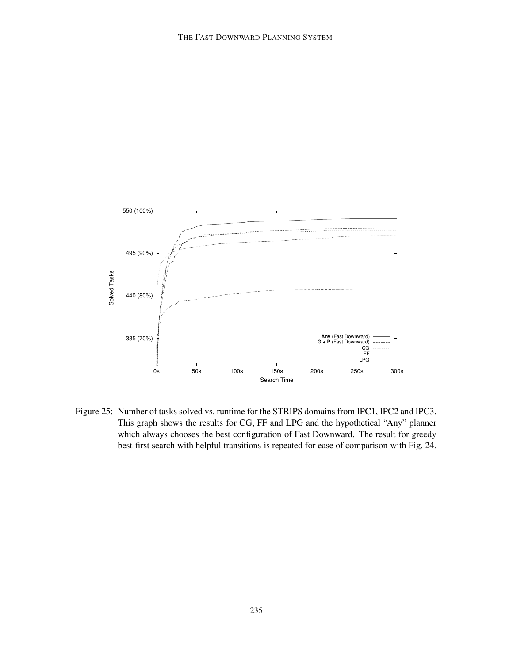#### PSfrag replacements



Figure 25: Number of tasks solved vs. runtime for the STRIPS domains from IPC1, IPC2 and IPC3. This graph shows the results for CG, FF and LPG and the hypothetical "Any" planner which always chooses the best configuration of Fast Downward. The result for greedy best-first search with helpful transitions is repeated for ease of comparison with Fig. 24.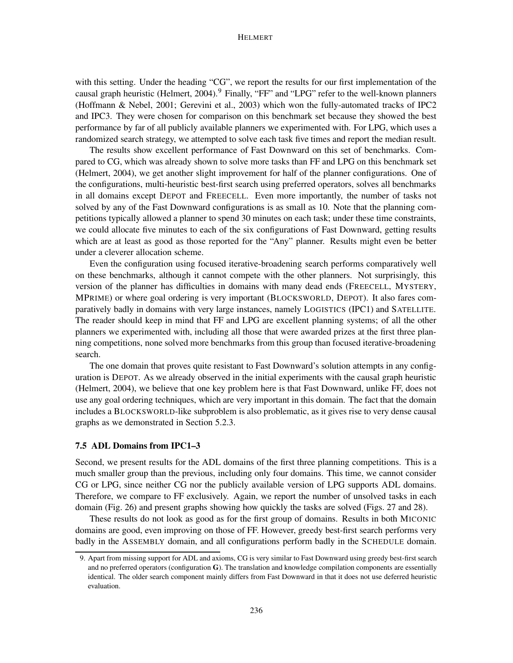with this setting. Under the heading "CG", we report the results for our first implementation of the causal graph heuristic (Helmert,  $2004$ ).<sup>9</sup> Finally, "FF" and "LPG" refer to the well-known planners (Hoffmann & Nebel, 2001; Gerevini et al., 2003) which won the fully-automated tracks of IPC2 and IPC3. They were chosen for comparison on this benchmark set because they showed the best performance by far of all publicly available planners we experimented with. For LPG, which uses a randomized search strategy, we attempted to solve each task five times and report the median result.

The results show excellent performance of Fast Downward on this set of benchmarks. Compared to CG, which was already shown to solve more tasks than FF and LPG on this benchmark set (Helmert, 2004), we get another slight improvement for half of the planner configurations. One of the configurations, multi-heuristic best-first search using preferred operators, solves all benchmarks in all domains except DEPOT and FREECELL. Even more importantly, the number of tasks not solved by any of the Fast Downward configurations is as small as 10. Note that the planning competitions typically allowed a planner to spend 30 minutes on each task; under these time constraints, we could allocate five minutes to each of the six configurations of Fast Downward, getting results which are at least as good as those reported for the "Any" planner. Results might even be better under a cleverer allocation scheme.

Even the configuration using focused iterative-broadening search performs comparatively well on these benchmarks, although it cannot compete with the other planners. Not surprisingly, this version of the planner has difficulties in domains with many dead ends (FREECELL, MYSTERY, MPRIME) or where goal ordering is very important (BLOCKSWORLD, DEPOT). It also fares comparatively badly in domains with very large instances, namely LOGISTICS (IPC1) and SATELLITE. The reader should keep in mind that FF and LPG are excellent planning systems; of all the other planners we experimented with, including all those that were awarded prizes at the first three planning competitions, none solved more benchmarks from this group than focused iterative-broadening search.

The one domain that proves quite resistant to Fast Downward's solution attempts in any configuration is DEPOT. As we already observed in the initial experiments with the causal graph heuristic (Helmert, 2004), we believe that one key problem here is that Fast Downward, unlike FF, does not use any goal ordering techniques, which are very important in this domain. The fact that the domain includes a BLOCKSWORLD-like subproblem is also problematic, as it gives rise to very dense causal graphs as we demonstrated in Section 5.2.3.

### **7.5 ADL Domains from IPC1–3**

Second, we present results for the ADL domains of the first three planning competitions. This is a much smaller group than the previous, including only four domains. This time, we cannot consider CG or LPG, since neither CG nor the publicly available version of LPG supports ADL domains. Therefore, we compare to FF exclusively. Again, we report the number of unsolved tasks in each domain (Fig. 26) and present graphs showing how quickly the tasks are solved (Figs. 27 and 28).

These results do not look as good as for the first group of domains. Results in both MICONIC domains are good, even improving on those of FF. However, greedy best-first search performs very badly in the ASSEMBLY domain, and all configurations perform badly in the SCHEDULE domain.

<sup>9.</sup> Apart from missing support for ADL and axioms, CG is very similar to Fast Downward using greedy best-first search and no preferred operators (configuration **G**). The translation and knowledge compilation components are essentially identical. The older search component mainly differs from Fast Downward in that it does not use deferred heuristic evaluation.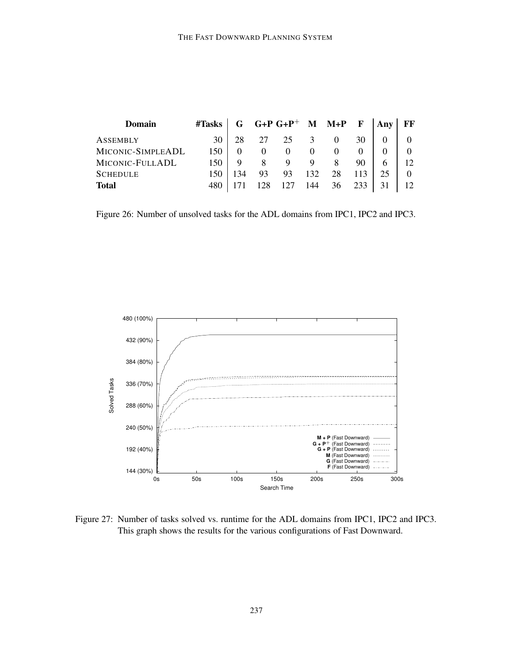| Domain            | #Tasks |     |     |          | G G+P G+P <sup>+</sup> M M+P F $ Any $ FF |     |    |  |
|-------------------|--------|-----|-----|----------|-------------------------------------------|-----|----|--|
| <b>ASSEMBLY</b>   | 30     | 27  | 25  | 3        |                                           | 30  |    |  |
| MICONIC-SIMPLEADL | 150    |     |     | $\theta$ |                                           |     |    |  |
| MICONIC-FULLADL   | 150    |     |     |          |                                           | 90  |    |  |
| <b>SCHEDULE</b>   | 150    | 93  | 93  | 132      | 28                                        | 113 | 25 |  |
| Total             |        | 128 | 127 | 144      | 36                                        | 233 |    |  |

Figure 26: Number of unsolved tasks for the ADL domains from IPC1, IPC2 and IPC3.



Figure 27: Number of tasks solved vs. runtime for the ADL domains from IPC1, IPC2 and IPC3. This graph shows the results for the various configurations of Fast Downward.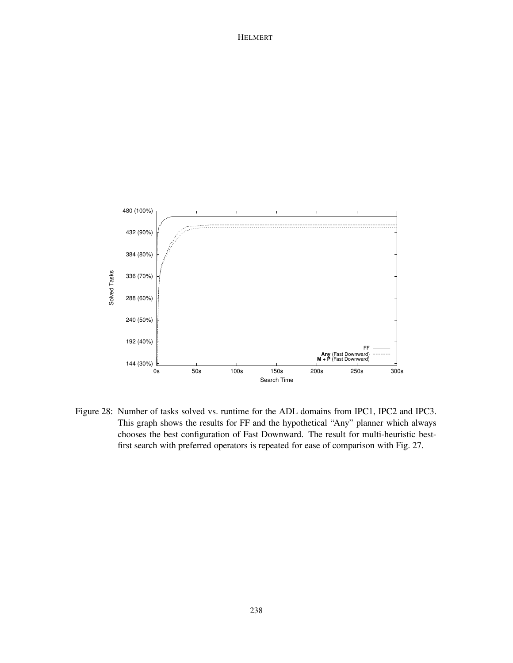### PSfrag replacements



Figure 28: Number of tasks solved vs. runtime for the ADL domains from IPC1, IPC2 and IPC3. This graph shows the results for FF and the hypothetical "Any" planner which always chooses the best configuration of Fast Downward. The result for multi-heuristic bestfirst search with preferred operators is repeated for ease of comparison with Fig. 27.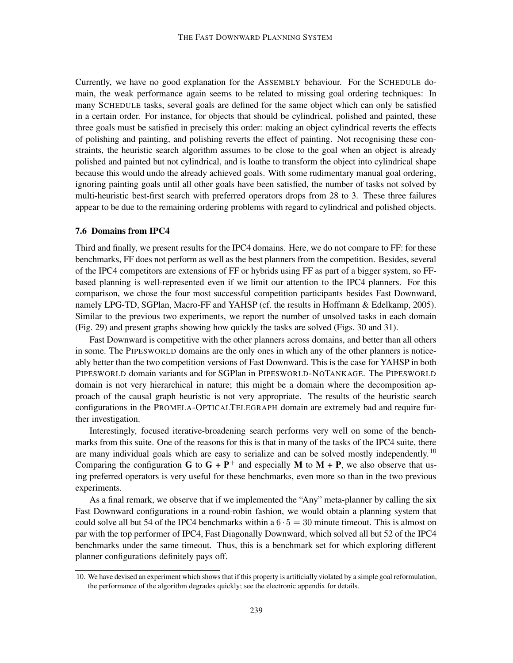Currently, we have no good explanation for the ASSEMBLY behaviour. For the SCHEDULE domain, the weak performance again seems to be related to missing goal ordering techniques: In many SCHEDULE tasks, several goals are defined for the same object which can only be satisfied in a certain order. For instance, for objects that should be cylindrical, polished and painted, these three goals must be satisfied in precisely this order: making an object cylindrical reverts the effects of polishing and painting, and polishing reverts the effect of painting. Not recognising these constraints, the heuristic search algorithm assumes to be close to the goal when an object is already polished and painted but not cylindrical, and is loathe to transform the object into cylindrical shape because this would undo the already achieved goals. With some rudimentary manual goal ordering, ignoring painting goals until all other goals have been satisfied, the number of tasks not solved by multi-heuristic best-first search with preferred operators drops from 28 to 3. These three failures appear to be due to the remaining ordering problems with regard to cylindrical and polished objects.

#### **7.6 Domains from IPC4**

Third and finally, we present results for the IPC4 domains. Here, we do not compare to FF: for these benchmarks, FF does not perform as well as the best planners from the competition. Besides, several of the IPC4 competitors are extensions of FF or hybrids using FF as part of a bigger system, so FFbased planning is well-represented even if we limit our attention to the IPC4 planners. For this comparison, we chose the four most successful competition participants besides Fast Downward, namely LPG-TD, SGPlan, Macro-FF and YAHSP (cf. the results in Hoffmann & Edelkamp, 2005). Similar to the previous two experiments, we report the number of unsolved tasks in each domain (Fig. 29) and present graphs showing how quickly the tasks are solved (Figs. 30 and 31).

Fast Downward is competitive with the other planners across domains, and better than all others in some. The PIPESWORLD domains are the only ones in which any of the other planners is noticeably better than the two competition versions of Fast Downward. This is the case for YAHSP in both PIPESWORLD domain variants and for SGPlan in PIPESWORLD-NOTANKAGE. The PIPESWORLD domain is not very hierarchical in nature; this might be a domain where the decomposition approach of the causal graph heuristic is not very appropriate. The results of the heuristic search configurations in the PROMELA-OPTICALTELEGRAPH domain are extremely bad and require further investigation.

Interestingly, focused iterative-broadening search performs very well on some of the benchmarks from this suite. One of the reasons for this is that in many of the tasks of the IPC4 suite, there are many individual goals which are easy to serialize and can be solved mostly independently.<sup>10</sup> Comparing the configuration **G** to  $G + P^+$  and especially **M** to **M** + **P**, we also observe that using preferred operators is very useful for these benchmarks, even more so than in the two previous experiments.

As a final remark, we observe that if we implemented the "Any" meta-planner by calling the six Fast Downward configurations in a round-robin fashion, we would obtain a planning system that could solve all but 54 of the IPC4 benchmarks within a  $6 \cdot 5 = 30$  minute timeout. This is almost on par with the top performer of IPC4, Fast Diagonally Downward, which solved all but 52 of the IPC4 benchmarks under the same timeout. Thus, this is a benchmark set for which exploring different planner configurations definitely pays off.

<sup>10.</sup> We have devised an experiment which shows that if this property is artificially violated by a simple goal reformulation, the performance of the algorithm degrades quickly; see the electronic appendix for details.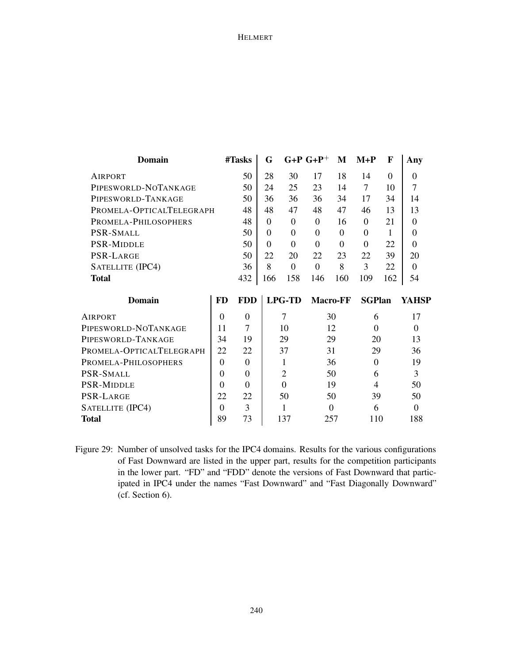|           |                          | G        |                |                 | M           | $M+P$         | F              | Any            |
|-----------|--------------------------|----------|----------------|-----------------|-------------|---------------|----------------|----------------|
|           | 50                       | 28       | 30             | 17              | 18          | 14            | $\overline{0}$ | $\Omega$       |
|           | 50                       | 24       | 25             | 23              | 14          | 7             | 10             | 7              |
|           | 50                       | 36       | 36             | 36              | 34          | 17            | 34             | 14             |
|           | 48                       | 48       | 47             | 48              | 47          | 46            | 13             | 13             |
|           | 48                       | $\Omega$ | $\Omega$       | $\Omega$        | 16          | $\Omega$      | 21             | $\Omega$       |
|           | 50                       | $\Omega$ | $\Omega$       | $\Omega$        | $\Omega$    | $\Omega$      | $\mathbf{1}$   | $\Omega$       |
|           | 50                       | $\Omega$ | $\Omega$       | $\Omega$        | $\Omega$    | $\Omega$      | 22             | $\Omega$       |
|           | 50                       | 22       | 20             | 22              | 23          | 22            | 39             | 20             |
|           | 36                       | 8        | $\overline{0}$ | $\overline{0}$  | 8           | 3             | 22             | $\Omega$       |
|           | 432                      | 166      | 158            | 146             | 160         | 109           | 162            | 54             |
|           |                          |          |                |                 |             |               |                |                |
| <b>FD</b> | <b>FDD</b>               |          | <b>LPG-TD</b>  | <b>Macro-FF</b> |             | <b>SGPlan</b> |                | YAHSP          |
| $\Omega$  | $\Omega$                 |          | 7              | 30              |             | 6             |                | 17             |
| 11        | $\tau$                   |          | 10             | 12              |             | $\Omega$      |                | $\Omega$       |
| 34        | 19                       |          | 29             | 29              |             | 20            |                | 13             |
| 22        | 22                       |          | 37             | 31              |             | 29            |                | 36             |
| $\theta$  | $\overline{0}$           |          | 1              | 36              |             | $\theta$      |                | 19             |
| $\Omega$  | $\overline{0}$           |          | $\overline{2}$ |                 | 50          | 6             |                | 3              |
| $\theta$  | $\overline{0}$           |          | $\Omega$       |                 | 19          | 4             |                | 50             |
| 22        | 22                       |          | 50             | 50              |             | 39            |                | 50             |
| $\Omega$  | 3                        |          | 1              | $\theta$        |             | 6             |                | $\overline{0}$ |
|           | PROMELA-OPTICALTELEGRAPH | #Tasks   |                |                 | $G+P G+P^+$ |               |                |                |

Figure 29: Number of unsolved tasks for the IPC4 domains. Results for the various configurations of Fast Downward are listed in the upper part, results for the competition participants in the lower part. "FD" and "FDD" denote the versions of Fast Downward that participated in IPC4 under the names "Fast Downward" and "Fast Diagonally Downward" (cf. Section 6).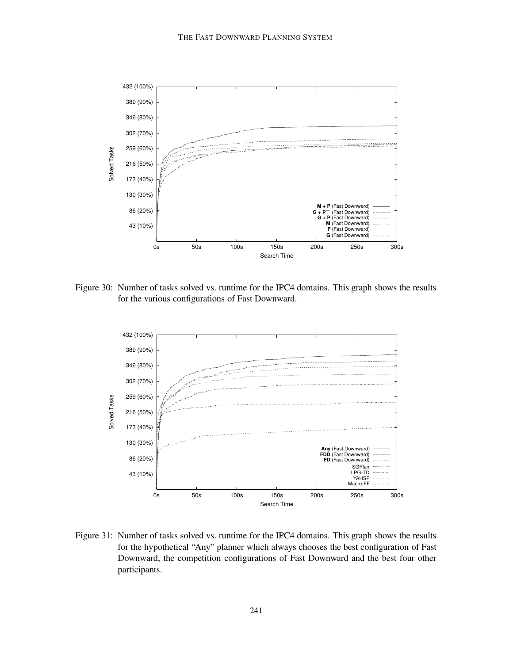

Figure 30: Number of tasks solved vs. runtime for the IPC4 domains. This graph shows the results for the various configurations of Fast Downward.



Figure 31: Number of tasks solved vs. runtime for the IPC4 domains. This graph shows the results for the hypothetical "Any" planner which always chooses the best configuration of Fast Downward, the competition configurations of Fast Downward and the best four other participants.

#### PSfrag replacements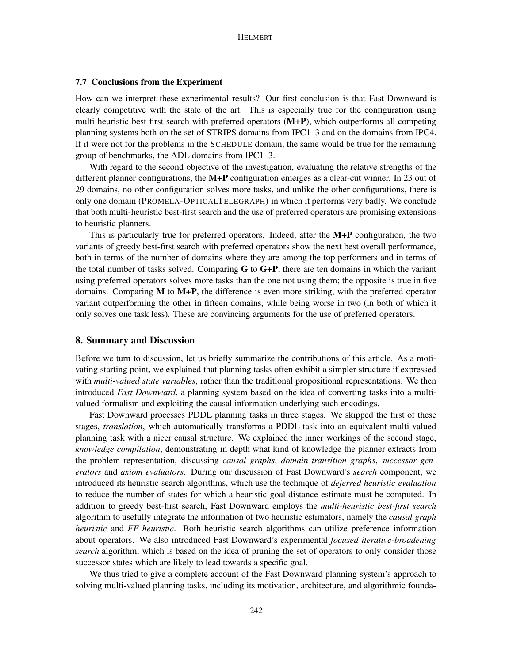### **7.7 Conclusions from the Experiment**

How can we interpret these experimental results? Our first conclusion is that Fast Downward is clearly competitive with the state of the art. This is especially true for the configuration using multi-heuristic best-first search with preferred operators (**M+P**), which outperforms all competing planning systems both on the set of STRIPS domains from IPC1–3 and on the domains from IPC4. If it were not for the problems in the SCHEDULE domain, the same would be true for the remaining group of benchmarks, the ADL domains from IPC1–3.

With regard to the second objective of the investigation, evaluating the relative strengths of the different planner configurations, the **M+P** configuration emerges as a clear-cut winner. In 23 out of 29 domains, no other configuration solves more tasks, and unlike the other configurations, there is only one domain (PROMELA-OPTICALTELEGRAPH) in which it performs very badly. We conclude that both multi-heuristic best-first search and the use of preferred operators are promising extensions to heuristic planners.

This is particularly true for preferred operators. Indeed, after the **M+P** configuration, the two variants of greedy best-first search with preferred operators show the next best overall performance, both in terms of the number of domains where they are among the top performers and in terms of the total number of tasks solved. Comparing **G** to **G+P**, there are ten domains in which the variant using preferred operators solves more tasks than the one not using them; the opposite is true in five domains. Comparing **M** to **M+P**, the difference is even more striking, with the preferred operator variant outperforming the other in fifteen domains, while being worse in two (in both of which it only solves one task less). These are convincing arguments for the use of preferred operators.

#### **8. Summary and Discussion**

Before we turn to discussion, let us briefly summarize the contributions of this article. As a motivating starting point, we explained that planning tasks often exhibit a simpler structure if expressed with *multi-valued state variables*, rather than the traditional propositional representations. We then introduced *Fast Downward*, a planning system based on the idea of converting tasks into a multivalued formalism and exploiting the causal information underlying such encodings.

Fast Downward processes PDDL planning tasks in three stages. We skipped the first of these stages, *translation*, which automatically transforms a PDDL task into an equivalent multi-valued planning task with a nicer causal structure. We explained the inner workings of the second stage, *knowledge compilation*, demonstrating in depth what kind of knowledge the planner extracts from the problem representation, discussing *causal graphs*, *domain transition graphs*, *successor generators* and *axiom evaluators*. During our discussion of Fast Downward's *search* component, we introduced its heuristic search algorithms, which use the technique of *deferred heuristic evaluation* to reduce the number of states for which a heuristic goal distance estimate must be computed. In addition to greedy best-first search, Fast Downward employs the *multi-heuristic best-first search* algorithm to usefully integrate the information of two heuristic estimators, namely the *causal graph heuristic* and *FF heuristic*. Both heuristic search algorithms can utilize preference information about operators. We also introduced Fast Downward's experimental *focused iterative-broadening search* algorithm, which is based on the idea of pruning the set of operators to only consider those successor states which are likely to lead towards a specific goal.

We thus tried to give a complete account of the Fast Downward planning system's approach to solving multi-valued planning tasks, including its motivation, architecture, and algorithmic founda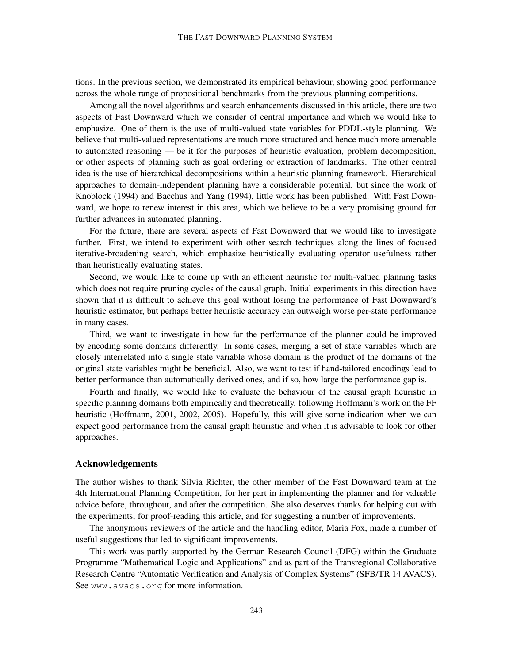tions. In the previous section, we demonstrated its empirical behaviour, showing good performance across the whole range of propositional benchmarks from the previous planning competitions.

Among all the novel algorithms and search enhancements discussed in this article, there are two aspects of Fast Downward which we consider of central importance and which we would like to emphasize. One of them is the use of multi-valued state variables for PDDL-style planning. We believe that multi-valued representations are much more structured and hence much more amenable to automated reasoning — be it for the purposes of heuristic evaluation, problem decomposition, or other aspects of planning such as goal ordering or extraction of landmarks. The other central idea is the use of hierarchical decompositions within a heuristic planning framework. Hierarchical approaches to domain-independent planning have a considerable potential, but since the work of Knoblock (1994) and Bacchus and Yang (1994), little work has been published. With Fast Downward, we hope to renew interest in this area, which we believe to be a very promising ground for further advances in automated planning.

For the future, there are several aspects of Fast Downward that we would like to investigate further. First, we intend to experiment with other search techniques along the lines of focused iterative-broadening search, which emphasize heuristically evaluating operator usefulness rather than heuristically evaluating states.

Second, we would like to come up with an efficient heuristic for multi-valued planning tasks which does not require pruning cycles of the causal graph. Initial experiments in this direction have shown that it is difficult to achieve this goal without losing the performance of Fast Downward's heuristic estimator, but perhaps better heuristic accuracy can outweigh worse per-state performance in many cases.

Third, we want to investigate in how far the performance of the planner could be improved by encoding some domains differently. In some cases, merging a set of state variables which are closely interrelated into a single state variable whose domain is the product of the domains of the original state variables might be beneficial. Also, we want to test if hand-tailored encodings lead to better performance than automatically derived ones, and if so, how large the performance gap is.

Fourth and finally, we would like to evaluate the behaviour of the causal graph heuristic in specific planning domains both empirically and theoretically, following Hoffmann's work on the FF heuristic (Hoffmann, 2001, 2002, 2005). Hopefully, this will give some indication when we can expect good performance from the causal graph heuristic and when it is advisable to look for other approaches.

### **Acknowledgements**

The author wishes to thank Silvia Richter, the other member of the Fast Downward team at the 4th International Planning Competition, for her part in implementing the planner and for valuable advice before, throughout, and after the competition. She also deserves thanks for helping out with the experiments, for proof-reading this article, and for suggesting a number of improvements.

The anonymous reviewers of the article and the handling editor, Maria Fox, made a number of useful suggestions that led to significant improvements.

This work was partly supported by the German Research Council (DFG) within the Graduate Programme "Mathematical Logic and Applications" and as part of the Transregional Collaborative Research Centre "Automatic Verification and Analysis of Complex Systems" (SFB/TR 14 AVACS). See www.avacs.org for more information.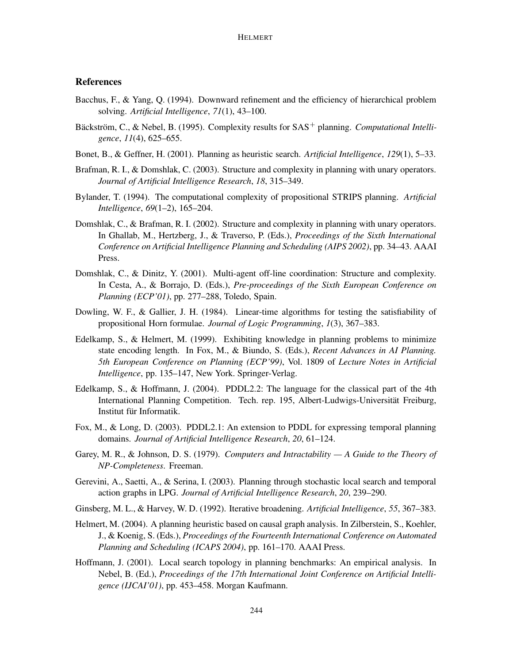# **References**

- Bacchus, F., & Yang, Q. (1994). Downward refinement and the efficiency of hierarchical problem solving. *Artificial Intelligence*, *71*(1), 43–100.
- Bäckström, C., & Nebel, B. (1995). Complexity results for SAS<sup>+</sup> planning. *Computational Intelligence*, *11*(4), 625–655.
- Bonet, B., & Geffner, H. (2001). Planning as heuristic search. *Artificial Intelligence*, *129*(1), 5–33.
- Brafman, R. I., & Domshlak, C. (2003). Structure and complexity in planning with unary operators. *Journal of Artificial Intelligence Research*, *18*, 315–349.
- Bylander, T. (1994). The computational complexity of propositional STRIPS planning. *Artificial Intelligence*, *69*(1–2), 165–204.
- Domshlak, C., & Brafman, R. I. (2002). Structure and complexity in planning with unary operators. In Ghallab, M., Hertzberg, J., & Traverso, P. (Eds.), *Proceedings of the Sixth International Conference on Artificial Intelligence Planning and Scheduling (AIPS 2002)*, pp. 34–43. AAAI Press.
- Domshlak, C., & Dinitz, Y. (2001). Multi-agent off-line coordination: Structure and complexity. In Cesta, A., & Borrajo, D. (Eds.), *Pre-proceedings of the Sixth European Conference on Planning (ECP'01)*, pp. 277–288, Toledo, Spain.
- Dowling, W. F., & Gallier, J. H. (1984). Linear-time algorithms for testing the satisfiability of propositional Horn formulae. *Journal of Logic Programming*, *1*(3), 367–383.
- Edelkamp, S., & Helmert, M. (1999). Exhibiting knowledge in planning problems to minimize state encoding length. In Fox, M., & Biundo, S. (Eds.), *Recent Advances in AI Planning. 5th European Conference on Planning (ECP'99)*, Vol. 1809 of *Lecture Notes in Artificial Intelligence*, pp. 135–147, New York. Springer-Verlag.
- Edelkamp, S., & Hoffmann, J. (2004). PDDL2.2: The language for the classical part of the 4th International Planning Competition. Tech. rep. 195, Albert-Ludwigs-Universität Freiburg, Institut für Informatik.
- Fox, M., & Long, D. (2003). PDDL2.1: An extension to PDDL for expressing temporal planning domains. *Journal of Artificial Intelligence Research*, *20*, 61–124.
- Garey, M. R., & Johnson, D. S. (1979). *Computers and Intractability — A Guide to the Theory of NP-Completeness*. Freeman.
- Gerevini, A., Saetti, A., & Serina, I. (2003). Planning through stochastic local search and temporal action graphs in LPG. *Journal of Artificial Intelligence Research*, *20*, 239–290.
- Ginsberg, M. L., & Harvey, W. D. (1992). Iterative broadening. *Artificial Intelligence*, *55*, 367–383.
- Helmert, M. (2004). A planning heuristic based on causal graph analysis. In Zilberstein, S., Koehler, J., & Koenig, S. (Eds.), *Proceedings of the Fourteenth International Conference on Automated Planning and Scheduling (ICAPS 2004)*, pp. 161–170. AAAI Press.
- Hoffmann, J. (2001). Local search topology in planning benchmarks: An empirical analysis. In Nebel, B. (Ed.), *Proceedings of the 17th International Joint Conference on Artificial Intelligence (IJCAI'01)*, pp. 453–458. Morgan Kaufmann.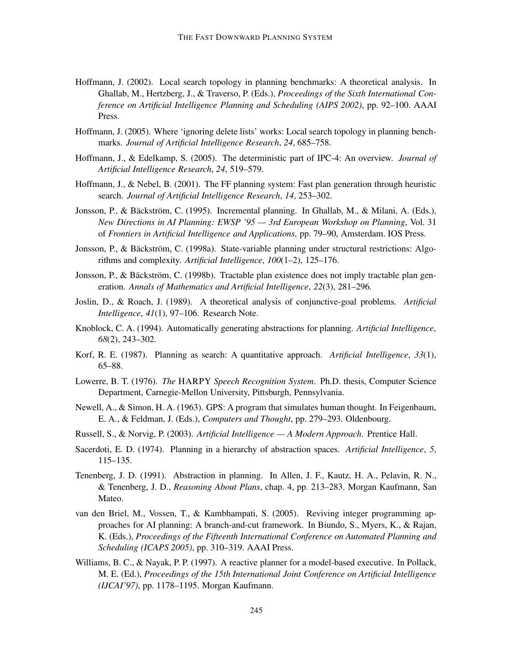- Hoffmann, J. (2002). Local search topology in planning benchmarks: A theoretical analysis. In Ghallab, M., Hertzberg, J., & Traverso, P. (Eds.), *Proceedings of the Sixth International Conference on Artificial Intelligence Planning and Scheduling (AIPS 2002)*, pp. 92–100. AAAI Press.
- Hoffmann, J. (2005). Where 'ignoring delete lists' works: Local search topology in planning benchmarks. *Journal of Artificial Intelligence Research*, *24*, 685–758.
- Hoffmann, J., & Edelkamp, S. (2005). The deterministic part of IPC-4: An overview. *Journal of Artificial Intelligence Research*, *24*, 519–579.
- Hoffmann, J., & Nebel, B. (2001). The FF planning system: Fast plan generation through heuristic search. *Journal of Artificial Intelligence Research*, *14*, 253–302.
- Jonsson, P., & Bäckström, C. (1995). Incremental planning. In Ghallab, M., & Milani, A. (Eds.), *New Directions in AI Planning: EWSP '95 — 3rd European Workshop on Planning*, Vol. 31 of *Frontiers in Artificial Intelligence and Applications*, pp. 79–90, Amsterdam. IOS Press.
- Jonsson, P., & Bäckström, C. (1998a). State-variable planning under structural restrictions: Algorithms and complexity. *Artificial Intelligence*, *100*(1–2), 125–176.
- Jonsson, P., & Bäckström, C. (1998b). Tractable plan existence does not imply tractable plan generation. *Annals of Mathematics and Artificial Intelligence*, *22*(3), 281–296.
- Joslin, D., & Roach, J. (1989). A theoretical analysis of conjunctive-goal problems. *Artificial Intelligence*, *41*(1), 97–106. Research Note.
- Knoblock, C. A. (1994). Automatically generating abstractions for planning. *Artificial Intelligence*, *68*(2), 243–302.
- Korf, R. E. (1987). Planning as search: A quantitative approach. *Artificial Intelligence*, *33*(1), 65–88.
- Lowerre, B. T. (1976). *The* HARPY *Speech Recognition System*. Ph.D. thesis, Computer Science Department, Carnegie-Mellon University, Pittsburgh, Pennsylvania.
- Newell, A., & Simon, H. A. (1963). GPS: A program that simulates human thought. In Feigenbaum, E. A., & Feldman, J. (Eds.), *Computers and Thought*, pp. 279–293. Oldenbourg.
- Russell, S., & Norvig, P. (2003). *Artificial Intelligence — A Modern Approach*. Prentice Hall.
- Sacerdoti, E. D. (1974). Planning in a hierarchy of abstraction spaces. *Artificial Intelligence*, *5*, 115–135.
- Tenenberg, J. D. (1991). Abstraction in planning. In Allen, J. F., Kautz, H. A., Pelavin, R. N., & Tenenberg, J. D., *Reasoning About Plans*, chap. 4, pp. 213–283. Morgan Kaufmann, San Mateo.
- van den Briel, M., Vossen, T., & Kambhampati, S. (2005). Reviving integer programming approaches for AI planning: A branch-and-cut framework. In Biundo, S., Myers, K., & Rajan, K. (Eds.), *Proceedings of the Fifteenth International Conference on Automated Planning and Scheduling (ICAPS 2005)*, pp. 310–319. AAAI Press.
- Williams, B. C., & Nayak, P. P. (1997). A reactive planner for a model-based executive. In Pollack, M. E. (Ed.), *Proceedings of the 15th International Joint Conference on Artificial Intelligence (IJCAI'97)*, pp. 1178–1195. Morgan Kaufmann.